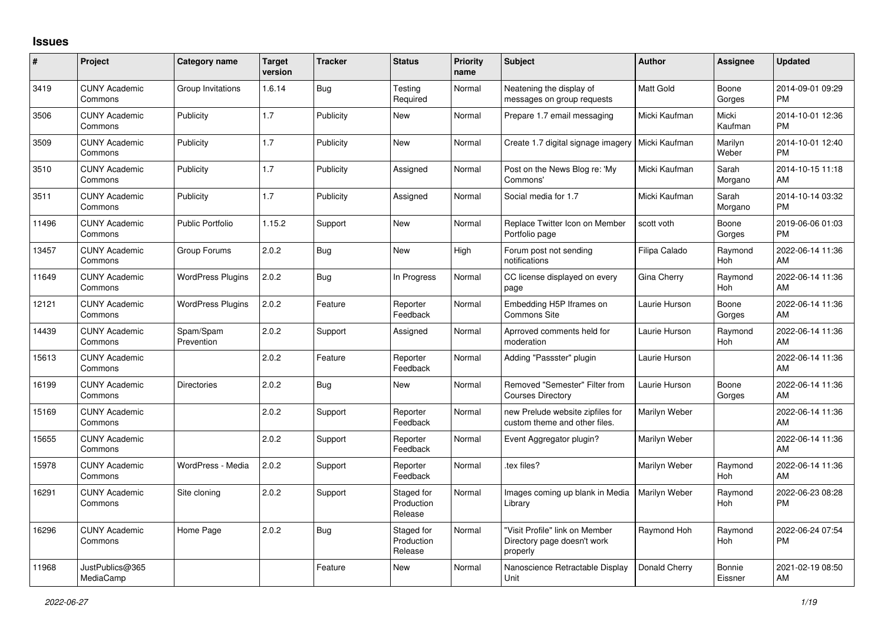## **Issues**

| #     | Project                         | <b>Category name</b>     | <b>Target</b><br>version | <b>Tracker</b> | <b>Status</b>                       | Priority<br>name | <b>Subject</b>                                                            | <b>Author</b> | <b>Assignee</b>   | <b>Updated</b>                |
|-------|---------------------------------|--------------------------|--------------------------|----------------|-------------------------------------|------------------|---------------------------------------------------------------------------|---------------|-------------------|-------------------------------|
| 3419  | <b>CUNY Academic</b><br>Commons | Group Invitations        | 1.6.14                   | Bug            | Testing<br>Required                 | Normal           | Neatening the display of<br>messages on group requests                    | Matt Gold     | Boone<br>Gorges   | 2014-09-01 09:29<br><b>PM</b> |
| 3506  | <b>CUNY Academic</b><br>Commons | Publicity                | 1.7                      | Publicity      | <b>New</b>                          | Normal           | Prepare 1.7 email messaging                                               | Micki Kaufman | Micki<br>Kaufman  | 2014-10-01 12:36<br><b>PM</b> |
| 3509  | <b>CUNY Academic</b><br>Commons | Publicity                | 1.7                      | Publicity      | <b>New</b>                          | Normal           | Create 1.7 digital signage imagery   Micki Kaufman                        |               | Marilyn<br>Weber  | 2014-10-01 12:40<br><b>PM</b> |
| 3510  | <b>CUNY Academic</b><br>Commons | Publicity                | 1.7                      | Publicity      | Assigned                            | Normal           | Post on the News Blog re: 'My<br>Commons'                                 | Micki Kaufman | Sarah<br>Morgano  | 2014-10-15 11:18<br>AM        |
| 3511  | <b>CUNY Academic</b><br>Commons | Publicity                | 1.7                      | Publicity      | Assigned                            | Normal           | Social media for 1.7                                                      | Micki Kaufman | Sarah<br>Morgano  | 2014-10-14 03:32<br><b>PM</b> |
| 11496 | <b>CUNY Academic</b><br>Commons | <b>Public Portfolio</b>  | 1.15.2                   | Support        | <b>New</b>                          | Normal           | Replace Twitter Icon on Member<br>Portfolio page                          | scott voth    | Boone<br>Gorges   | 2019-06-06 01:03<br><b>PM</b> |
| 13457 | <b>CUNY Academic</b><br>Commons | Group Forums             | 2.0.2                    | <b>Bug</b>     | <b>New</b>                          | High             | Forum post not sending<br>notifications                                   | Filipa Calado | Raymond<br>Hoh    | 2022-06-14 11:36<br>AM        |
| 11649 | <b>CUNY Academic</b><br>Commons | <b>WordPress Plugins</b> | 2.0.2                    | <b>Bug</b>     | In Progress                         | Normal           | CC license displayed on every<br>page                                     | Gina Cherry   | Raymond<br>Hoh    | 2022-06-14 11:36<br>AM        |
| 12121 | <b>CUNY Academic</b><br>Commons | <b>WordPress Plugins</b> | 2.0.2                    | Feature        | Reporter<br>Feedback                | Normal           | Embedding H5P Iframes on<br><b>Commons Site</b>                           | Laurie Hurson | Boone<br>Gorges   | 2022-06-14 11:36<br>AM        |
| 14439 | <b>CUNY Academic</b><br>Commons | Spam/Spam<br>Prevention  | 2.0.2                    | Support        | Assigned                            | Normal           | Aprroved comments held for<br>moderation                                  | Laurie Hurson | Raymond<br>Hoh    | 2022-06-14 11:36<br>AM        |
| 15613 | <b>CUNY Academic</b><br>Commons |                          | 2.0.2                    | Feature        | Reporter<br>Feedback                | Normal           | Adding "Passster" plugin                                                  | Laurie Hurson |                   | 2022-06-14 11:36<br>AM        |
| 16199 | <b>CUNY Academic</b><br>Commons | <b>Directories</b>       | 2.0.2                    | <b>Bug</b>     | New                                 | Normal           | Removed "Semester" Filter from<br><b>Courses Directory</b>                | Laurie Hurson | Boone<br>Gorges   | 2022-06-14 11:36<br>AM        |
| 15169 | <b>CUNY Academic</b><br>Commons |                          | 2.0.2                    | Support        | Reporter<br>Feedback                | Normal           | new Prelude website zipfiles for<br>custom theme and other files.         | Marilyn Weber |                   | 2022-06-14 11:36<br>AM        |
| 15655 | <b>CUNY Academic</b><br>Commons |                          | 2.0.2                    | Support        | Reporter<br>Feedback                | Normal           | Event Aggregator plugin?                                                  | Marilyn Weber |                   | 2022-06-14 11:36<br>AM        |
| 15978 | <b>CUNY Academic</b><br>Commons | WordPress - Media        | 2.0.2                    | Support        | Reporter<br>Feedback                | Normal           | tex files?                                                                | Marilyn Weber | Raymond<br>Hoh    | 2022-06-14 11:36<br>AM        |
| 16291 | <b>CUNY Academic</b><br>Commons | Site cloning             | 2.0.2                    | Support        | Staged for<br>Production<br>Release | Normal           | Images coming up blank in Media<br>Library                                | Marilyn Weber | Raymond<br>Hoh    | 2022-06-23 08:28<br><b>PM</b> |
| 16296 | <b>CUNY Academic</b><br>Commons | Home Page                | 2.0.2                    | <b>Bug</b>     | Staged for<br>Production<br>Release | Normal           | "Visit Profile" link on Member<br>Directory page doesn't work<br>properly | Raymond Hoh   | Raymond<br>Hoh    | 2022-06-24 07:54<br><b>PM</b> |
| 11968 | JustPublics@365<br>MediaCamp    |                          |                          | Feature        | New                                 | Normal           | Nanoscience Retractable Display<br>Unit                                   | Donald Cherry | Bonnie<br>Eissner | 2021-02-19 08:50<br>AM        |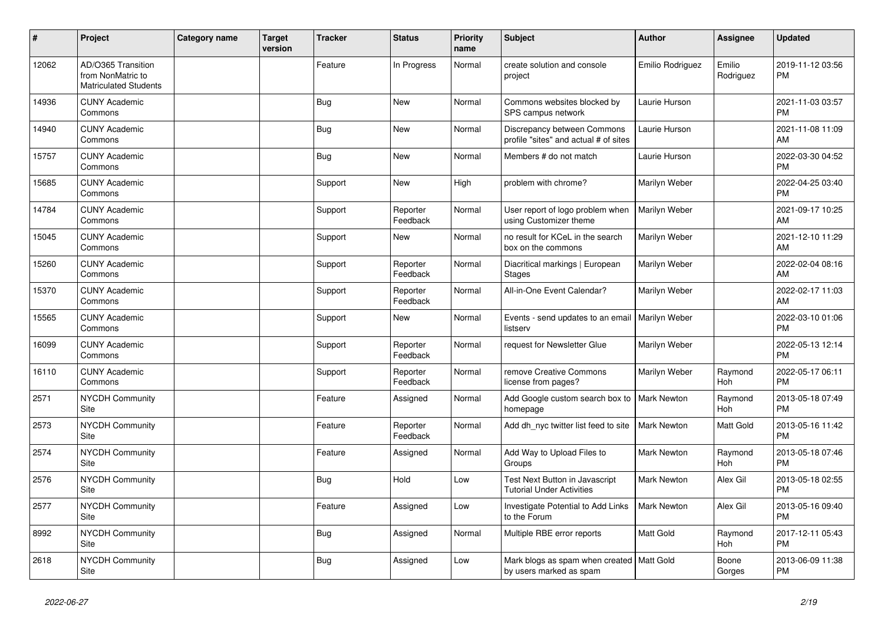| #     | Project                                                                 | <b>Category name</b> | <b>Target</b><br>version | <b>Tracker</b> | <b>Status</b>        | <b>Priority</b><br>name | <b>Subject</b>                                                            | Author               | <b>Assignee</b>       | <b>Updated</b>                |
|-------|-------------------------------------------------------------------------|----------------------|--------------------------|----------------|----------------------|-------------------------|---------------------------------------------------------------------------|----------------------|-----------------------|-------------------------------|
| 12062 | AD/O365 Transition<br>from NonMatric to<br><b>Matriculated Students</b> |                      |                          | Feature        | In Progress          | Normal                  | create solution and console<br>project                                    | Emilio Rodriguez     | Emilio<br>Rodriguez   | 2019-11-12 03:56<br><b>PM</b> |
| 14936 | <b>CUNY Academic</b><br>Commons                                         |                      |                          | Bug            | <b>New</b>           | Normal                  | Commons websites blocked by<br>SPS campus network                         | Laurie Hurson        |                       | 2021-11-03 03:57<br><b>PM</b> |
| 14940 | <b>CUNY Academic</b><br>Commons                                         |                      |                          | <b>Bug</b>     | <b>New</b>           | Normal                  | Discrepancy between Commons<br>profile "sites" and actual # of sites      | Laurie Hurson        |                       | 2021-11-08 11:09<br>AM        |
| 15757 | <b>CUNY Academic</b><br>Commons                                         |                      |                          | <b>Bug</b>     | <b>New</b>           | Normal                  | Members # do not match                                                    | Laurie Hurson        |                       | 2022-03-30 04:52<br><b>PM</b> |
| 15685 | <b>CUNY Academic</b><br>Commons                                         |                      |                          | Support        | New                  | High                    | problem with chrome?                                                      | Marilyn Weber        |                       | 2022-04-25 03:40<br><b>PM</b> |
| 14784 | <b>CUNY Academic</b><br>Commons                                         |                      |                          | Support        | Reporter<br>Feedback | Normal                  | User report of logo problem when<br>using Customizer theme                | Marilyn Weber        |                       | 2021-09-17 10:25<br>AM        |
| 15045 | <b>CUNY Academic</b><br>Commons                                         |                      |                          | Support        | <b>New</b>           | Normal                  | no result for KCeL in the search<br>box on the commons                    | Marilyn Weber        |                       | 2021-12-10 11:29<br>AM        |
| 15260 | <b>CUNY Academic</b><br>Commons                                         |                      |                          | Support        | Reporter<br>Feedback | Normal                  | Diacritical markings   European<br><b>Stages</b>                          | Marilyn Weber        |                       | 2022-02-04 08:16<br>AM        |
| 15370 | <b>CUNY Academic</b><br>Commons                                         |                      |                          | Support        | Reporter<br>Feedback | Normal                  | All-in-One Event Calendar?                                                | Marilyn Weber        |                       | 2022-02-17 11:03<br>AM        |
| 15565 | <b>CUNY Academic</b><br>Commons                                         |                      |                          | Support        | <b>New</b>           | Normal                  | Events - send updates to an email<br>listserv                             | <b>Marilyn Weber</b> |                       | 2022-03-10 01:06<br><b>PM</b> |
| 16099 | <b>CUNY Academic</b><br>Commons                                         |                      |                          | Support        | Reporter<br>Feedback | Normal                  | request for Newsletter Glue                                               | Marilyn Weber        |                       | 2022-05-13 12:14<br><b>PM</b> |
| 16110 | <b>CUNY Academic</b><br>Commons                                         |                      |                          | Support        | Reporter<br>Feedback | Normal                  | remove Creative Commons<br>license from pages?                            | Marilyn Weber        | Raymond<br><b>Hoh</b> | 2022-05-17 06:11<br><b>PM</b> |
| 2571  | <b>NYCDH Community</b><br>Site                                          |                      |                          | Feature        | Assigned             | Normal                  | Add Google custom search box to<br>homepage                               | Mark Newton          | Raymond<br><b>Hoh</b> | 2013-05-18 07:49<br><b>PM</b> |
| 2573  | <b>NYCDH Community</b><br>Site                                          |                      |                          | Feature        | Reporter<br>Feedback | Normal                  | Add dh_nyc twitter list feed to site                                      | Mark Newton          | Matt Gold             | 2013-05-16 11:42<br><b>PM</b> |
| 2574  | <b>NYCDH Community</b><br>Site                                          |                      |                          | Feature        | Assigned             | Normal                  | Add Way to Upload Files to<br>Groups                                      | <b>Mark Newton</b>   | Raymond<br>Hoh        | 2013-05-18 07:46<br><b>PM</b> |
| 2576  | NYCDH Community<br>Site                                                 |                      |                          | <b>Bug</b>     | Hold                 | Low                     | <b>Test Next Button in Javascript</b><br><b>Tutorial Under Activities</b> | <b>Mark Newton</b>   | Alex Gil              | 2013-05-18 02:55<br><b>PM</b> |
| 2577  | NYCDH Community<br>Site                                                 |                      |                          | Feature        | Assigned             | Low                     | Investigate Potential to Add Links<br>to the Forum                        | <b>Mark Newton</b>   | Alex Gil              | 2013-05-16 09:40<br><b>PM</b> |
| 8992  | <b>NYCDH Community</b><br>Site                                          |                      |                          | <b>Bug</b>     | Assigned             | Normal                  | Multiple RBE error reports                                                | Matt Gold            | Raymond<br><b>Hoh</b> | 2017-12-11 05:43<br><b>PM</b> |
| 2618  | NYCDH Community<br>Site                                                 |                      |                          | <b>Bug</b>     | Assigned             | Low                     | Mark blogs as spam when created<br>by users marked as spam                | <b>Matt Gold</b>     | Boone<br>Gorges       | 2013-06-09 11:38<br><b>PM</b> |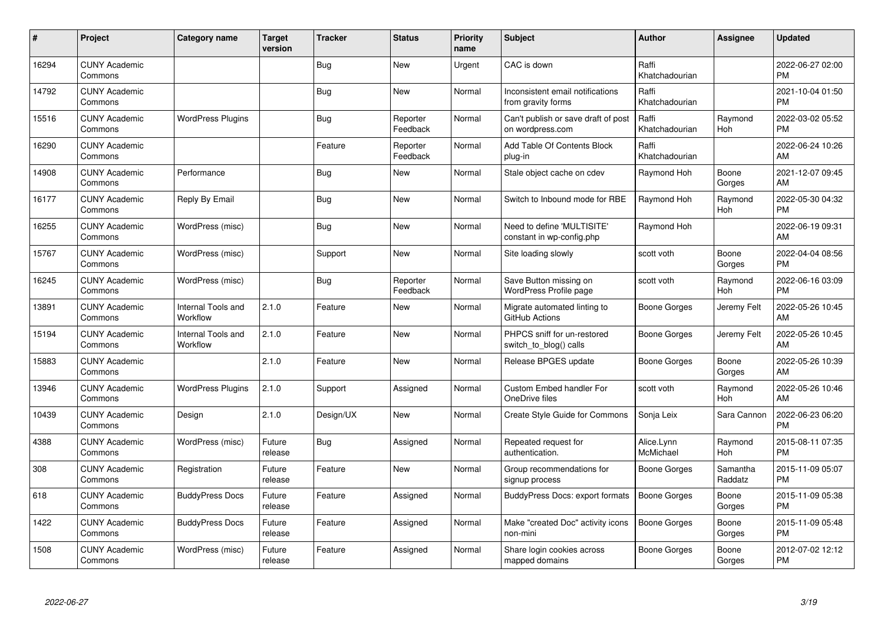| #     | Project                         | <b>Category name</b>           | <b>Target</b><br>version | <b>Tracker</b> | <b>Status</b>        | <b>Priority</b><br>name | <b>Subject</b>                                          | <b>Author</b>           | <b>Assignee</b>     | <b>Updated</b>                |
|-------|---------------------------------|--------------------------------|--------------------------|----------------|----------------------|-------------------------|---------------------------------------------------------|-------------------------|---------------------|-------------------------------|
| 16294 | <b>CUNY Academic</b><br>Commons |                                |                          | Bug            | <b>New</b>           | Urgent                  | CAC is down                                             | Raffi<br>Khatchadourian |                     | 2022-06-27 02:00<br><b>PM</b> |
| 14792 | <b>CUNY Academic</b><br>Commons |                                |                          | Bug            | <b>New</b>           | Normal                  | Inconsistent email notifications<br>from gravity forms  | Raffi<br>Khatchadourian |                     | 2021-10-04 01:50<br><b>PM</b> |
| 15516 | <b>CUNY Academic</b><br>Commons | <b>WordPress Plugins</b>       |                          | <b>Bug</b>     | Reporter<br>Feedback | Normal                  | Can't publish or save draft of post<br>on wordpress.com | Raffi<br>Khatchadourian | Raymond<br>Hoh      | 2022-03-02 05:52<br><b>PM</b> |
| 16290 | <b>CUNY Academic</b><br>Commons |                                |                          | Feature        | Reporter<br>Feedback | Normal                  | Add Table Of Contents Block<br>plug-in                  | Raffi<br>Khatchadourian |                     | 2022-06-24 10:26<br>AM        |
| 14908 | <b>CUNY Academic</b><br>Commons | Performance                    |                          | Bug            | New                  | Normal                  | Stale object cache on cdev                              | Raymond Hoh             | Boone<br>Gorges     | 2021-12-07 09:45<br>AM        |
| 16177 | <b>CUNY Academic</b><br>Commons | Reply By Email                 |                          | <b>Bug</b>     | <b>New</b>           | Normal                  | Switch to Inbound mode for RBE                          | Raymond Hoh             | Raymond<br>Hoh      | 2022-05-30 04:32<br><b>PM</b> |
| 16255 | <b>CUNY Academic</b><br>Commons | WordPress (misc)               |                          | Bug            | <b>New</b>           | Normal                  | Need to define 'MULTISITE'<br>constant in wp-config.php | Raymond Hoh             |                     | 2022-06-19 09:31<br>AM        |
| 15767 | <b>CUNY Academic</b><br>Commons | WordPress (misc)               |                          | Support        | New                  | Normal                  | Site loading slowly                                     | scott voth              | Boone<br>Gorges     | 2022-04-04 08:56<br><b>PM</b> |
| 16245 | <b>CUNY Academic</b><br>Commons | WordPress (misc)               |                          | Bug            | Reporter<br>Feedback | Normal                  | Save Button missing on<br>WordPress Profile page        | scott voth              | Raymond<br>Hoh      | 2022-06-16 03:09<br><b>PM</b> |
| 13891 | <b>CUNY Academic</b><br>Commons | Internal Tools and<br>Workflow | 2.1.0                    | Feature        | New                  | Normal                  | Migrate automated linting to<br>GitHub Actions          | Boone Gorges            | Jeremy Felt         | 2022-05-26 10:45<br>AM        |
| 15194 | <b>CUNY Academic</b><br>Commons | Internal Tools and<br>Workflow | 2.1.0                    | Feature        | New                  | Normal                  | PHPCS sniff for un-restored<br>switch to blog() calls   | Boone Gorges            | Jeremy Felt         | 2022-05-26 10:45<br>AM        |
| 15883 | <b>CUNY Academic</b><br>Commons |                                | 2.1.0                    | Feature        | New                  | Normal                  | Release BPGES update                                    | Boone Gorges            | Boone<br>Gorges     | 2022-05-26 10:39<br>AM        |
| 13946 | <b>CUNY Academic</b><br>Commons | <b>WordPress Plugins</b>       | 2.1.0                    | Support        | Assigned             | Normal                  | <b>Custom Embed handler For</b><br>OneDrive files       | scott voth              | Raymond<br>Hoh      | 2022-05-26 10:46<br>AM        |
| 10439 | <b>CUNY Academic</b><br>Commons | Design                         | 2.1.0                    | Design/UX      | <b>New</b>           | Normal                  | <b>Create Style Guide for Commons</b>                   | Sonja Leix              | Sara Cannon         | 2022-06-23 06:20<br><b>PM</b> |
| 4388  | <b>CUNY Academic</b><br>Commons | WordPress (misc)               | Future<br>release        | <b>Bug</b>     | Assigned             | Normal                  | Repeated request for<br>authentication.                 | Alice.Lynn<br>McMichael | Raymond<br>Hoh      | 2015-08-11 07:35<br><b>PM</b> |
| 308   | <b>CUNY Academic</b><br>Commons | Registration                   | Future<br>release        | Feature        | <b>New</b>           | Normal                  | Group recommendations for<br>signup process             | Boone Gorges            | Samantha<br>Raddatz | 2015-11-09 05:07<br><b>PM</b> |
| 618   | <b>CUNY Academic</b><br>Commons | <b>BuddyPress Docs</b>         | Future<br>release        | Feature        | Assigned             | Normal                  | BuddyPress Docs: export formats                         | <b>Boone Gorges</b>     | Boone<br>Gorges     | 2015-11-09 05:38<br><b>PM</b> |
| 1422  | <b>CUNY Academic</b><br>Commons | <b>BuddyPress Docs</b>         | Future<br>release        | Feature        | Assigned             | Normal                  | Make "created Doc" activity icons<br>non-mini           | <b>Boone Gorges</b>     | Boone<br>Gorges     | 2015-11-09 05:48<br><b>PM</b> |
| 1508  | <b>CUNY Academic</b><br>Commons | WordPress (misc)               | Future<br>release        | Feature        | Assigned             | Normal                  | Share login cookies across<br>mapped domains            | Boone Gorges            | Boone<br>Gorges     | 2012-07-02 12:12<br>PM        |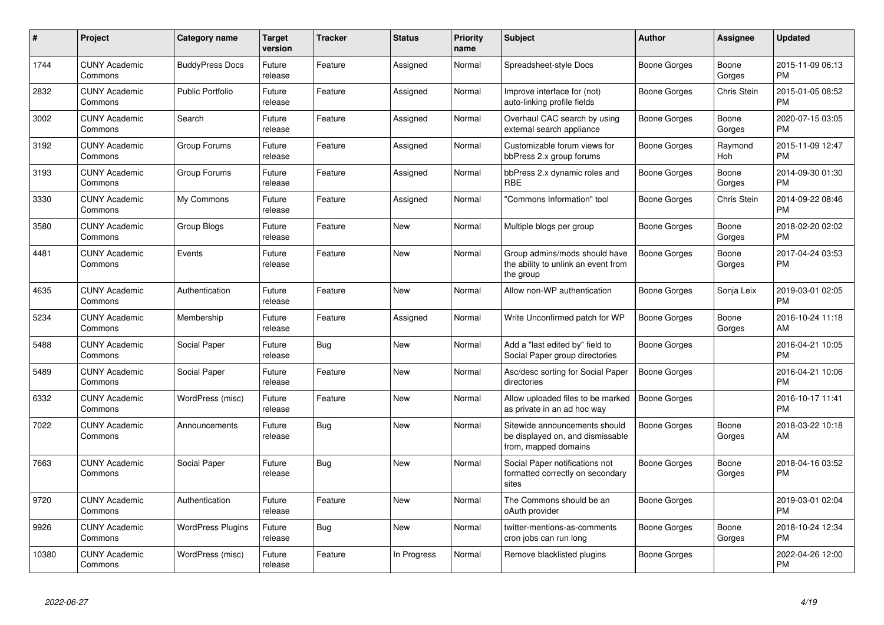| $\pmb{\#}$ | Project                         | <b>Category name</b>     | <b>Target</b><br>version | <b>Tracker</b> | <b>Status</b> | <b>Priority</b><br>name | <b>Subject</b>                                                                            | Author              | <b>Assignee</b> | <b>Updated</b>                |
|------------|---------------------------------|--------------------------|--------------------------|----------------|---------------|-------------------------|-------------------------------------------------------------------------------------------|---------------------|-----------------|-------------------------------|
| 1744       | <b>CUNY Academic</b><br>Commons | <b>BuddyPress Docs</b>   | Future<br>release        | Feature        | Assigned      | Normal                  | Spreadsheet-style Docs                                                                    | Boone Gorges        | Boone<br>Gorges | 2015-11-09 06:13<br><b>PM</b> |
| 2832       | <b>CUNY Academic</b><br>Commons | Public Portfolio         | Future<br>release        | Feature        | Assigned      | Normal                  | Improve interface for (not)<br>auto-linking profile fields                                | Boone Gorges        | Chris Stein     | 2015-01-05 08:52<br><b>PM</b> |
| 3002       | <b>CUNY Academic</b><br>Commons | Search                   | Future<br>release        | Feature        | Assigned      | Normal                  | Overhaul CAC search by using<br>external search appliance                                 | Boone Gorges        | Boone<br>Gorges | 2020-07-15 03:05<br><b>PM</b> |
| 3192       | <b>CUNY Academic</b><br>Commons | Group Forums             | Future<br>release        | Feature        | Assigned      | Normal                  | Customizable forum views for<br>bbPress 2.x group forums                                  | Boone Gorges        | Raymond<br>Hoh  | 2015-11-09 12:47<br><b>PM</b> |
| 3193       | <b>CUNY Academic</b><br>Commons | Group Forums             | Future<br>release        | Feature        | Assigned      | Normal                  | bbPress 2.x dynamic roles and<br>RBE                                                      | Boone Gorges        | Boone<br>Gorges | 2014-09-30 01:30<br><b>PM</b> |
| 3330       | <b>CUNY Academic</b><br>Commons | My Commons               | Future<br>release        | Feature        | Assigned      | Normal                  | 'Commons Information" tool                                                                | Boone Gorges        | Chris Stein     | 2014-09-22 08:46<br><b>PM</b> |
| 3580       | <b>CUNY Academic</b><br>Commons | Group Blogs              | Future<br>release        | Feature        | New           | Normal                  | Multiple blogs per group                                                                  | <b>Boone Gorges</b> | Boone<br>Gorges | 2018-02-20 02:02<br><b>PM</b> |
| 4481       | <b>CUNY Academic</b><br>Commons | Events                   | Future<br>release        | Feature        | <b>New</b>    | Normal                  | Group admins/mods should have<br>the ability to unlink an event from<br>the group         | <b>Boone Gorges</b> | Boone<br>Gorges | 2017-04-24 03:53<br><b>PM</b> |
| 4635       | <b>CUNY Academic</b><br>Commons | Authentication           | Future<br>release        | Feature        | <b>New</b>    | Normal                  | Allow non-WP authentication                                                               | Boone Gorges        | Sonja Leix      | 2019-03-01 02:05<br><b>PM</b> |
| 5234       | <b>CUNY Academic</b><br>Commons | Membership               | Future<br>release        | Feature        | Assigned      | Normal                  | Write Unconfirmed patch for WP                                                            | <b>Boone Gorges</b> | Boone<br>Gorges | 2016-10-24 11:18<br>AM        |
| 5488       | <b>CUNY Academic</b><br>Commons | Social Paper             | Future<br>release        | Bug            | <b>New</b>    | Normal                  | Add a "last edited by" field to<br>Social Paper group directories                         | Boone Gorges        |                 | 2016-04-21 10:05<br><b>PM</b> |
| 5489       | <b>CUNY Academic</b><br>Commons | Social Paper             | Future<br>release        | Feature        | <b>New</b>    | Normal                  | Asc/desc sorting for Social Paper<br>directories                                          | <b>Boone Gorges</b> |                 | 2016-04-21 10:06<br><b>PM</b> |
| 6332       | <b>CUNY Academic</b><br>Commons | WordPress (misc)         | Future<br>release        | Feature        | <b>New</b>    | Normal                  | Allow uploaded files to be marked<br>as private in an ad hoc way                          | <b>Boone Gorges</b> |                 | 2016-10-17 11:41<br><b>PM</b> |
| 7022       | <b>CUNY Academic</b><br>Commons | Announcements            | Future<br>release        | Bug            | <b>New</b>    | Normal                  | Sitewide announcements should<br>be displayed on, and dismissable<br>from, mapped domains | <b>Boone Gorges</b> | Boone<br>Gorges | 2018-03-22 10:18<br>AM        |
| 7663       | <b>CUNY Academic</b><br>Commons | Social Paper             | Future<br>release        | <b>Bug</b>     | <b>New</b>    | Normal                  | Social Paper notifications not<br>formatted correctly on secondary<br>sites               | Boone Gorges        | Boone<br>Gorges | 2018-04-16 03:52<br><b>PM</b> |
| 9720       | <b>CUNY Academic</b><br>Commons | Authentication           | Future<br>release        | Feature        | <b>New</b>    | Normal                  | The Commons should be an<br>oAuth provider                                                | <b>Boone Gorges</b> |                 | 2019-03-01 02:04<br><b>PM</b> |
| 9926       | <b>CUNY Academic</b><br>Commons | <b>WordPress Plugins</b> | Future<br>release        | <b>Bug</b>     | <b>New</b>    | Normal                  | twitter-mentions-as-comments<br>cron jobs can run long                                    | Boone Gorges        | Boone<br>Gorges | 2018-10-24 12:34<br><b>PM</b> |
| 10380      | <b>CUNY Academic</b><br>Commons | WordPress (misc)         | Future<br>release        | Feature        | In Progress   | Normal                  | Remove blacklisted plugins                                                                | Boone Gorges        |                 | 2022-04-26 12:00<br><b>PM</b> |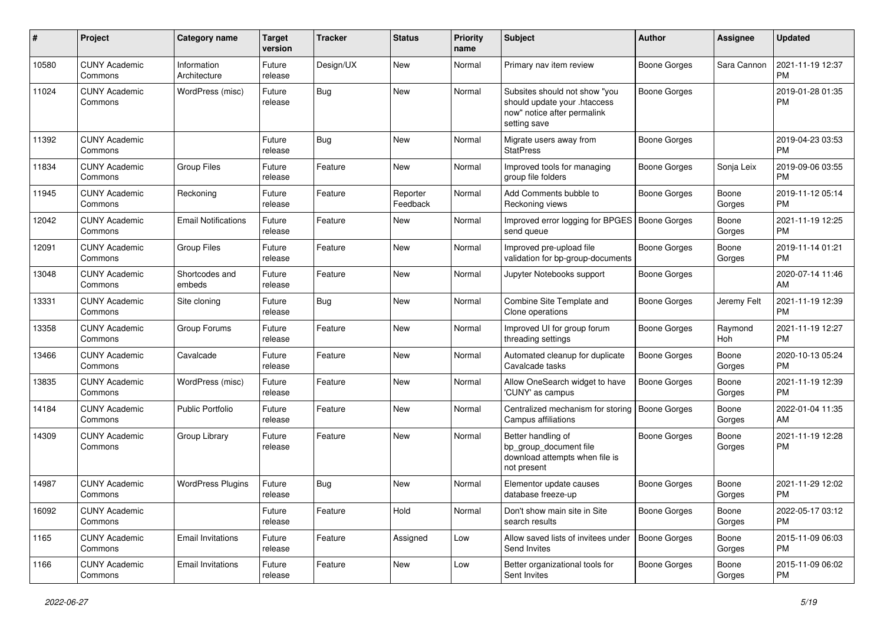| #     | Project                         | <b>Category name</b>        | <b>Target</b><br>version | <b>Tracker</b> | <b>Status</b>        | <b>Priority</b><br>name | <b>Subject</b>                                                                                               | <b>Author</b>       | Assignee        | <b>Updated</b>                |
|-------|---------------------------------|-----------------------------|--------------------------|----------------|----------------------|-------------------------|--------------------------------------------------------------------------------------------------------------|---------------------|-----------------|-------------------------------|
| 10580 | <b>CUNY Academic</b><br>Commons | Information<br>Architecture | Future<br>release        | Design/UX      | New                  | Normal                  | Primary nav item review                                                                                      | <b>Boone Gorges</b> | Sara Cannon     | 2021-11-19 12:37<br>PM        |
| 11024 | <b>CUNY Academic</b><br>Commons | WordPress (misc)            | Future<br>release        | Bug            | New                  | Normal                  | Subsites should not show "you<br>should update your .htaccess<br>now" notice after permalink<br>setting save | Boone Gorges        |                 | 2019-01-28 01:35<br><b>PM</b> |
| 11392 | <b>CUNY Academic</b><br>Commons |                             | Future<br>release        | <b>Bug</b>     | <b>New</b>           | Normal                  | Migrate users away from<br><b>StatPress</b>                                                                  | Boone Gorges        |                 | 2019-04-23 03:53<br><b>PM</b> |
| 11834 | <b>CUNY Academic</b><br>Commons | <b>Group Files</b>          | Future<br>release        | Feature        | New                  | Normal                  | Improved tools for managing<br>group file folders                                                            | <b>Boone Gorges</b> | Sonja Leix      | 2019-09-06 03:55<br><b>PM</b> |
| 11945 | <b>CUNY Academic</b><br>Commons | Reckoning                   | Future<br>release        | Feature        | Reporter<br>Feedback | Normal                  | Add Comments bubble to<br>Reckoning views                                                                    | Boone Gorges        | Boone<br>Gorges | 2019-11-12 05:14<br><b>PM</b> |
| 12042 | <b>CUNY Academic</b><br>Commons | <b>Email Notifications</b>  | Future<br>release        | Feature        | New                  | Normal                  | Improved error logging for BPGES<br>send queue                                                               | Boone Gorges        | Boone<br>Gorges | 2021-11-19 12:25<br><b>PM</b> |
| 12091 | <b>CUNY Academic</b><br>Commons | <b>Group Files</b>          | Future<br>release        | Feature        | New                  | Normal                  | Improved pre-upload file<br>validation for bp-group-documents                                                | Boone Gorges        | Boone<br>Gorges | 2019-11-14 01:21<br><b>PM</b> |
| 13048 | <b>CUNY Academic</b><br>Commons | Shortcodes and<br>embeds    | Future<br>release        | Feature        | New                  | Normal                  | Jupyter Notebooks support                                                                                    | Boone Gorges        |                 | 2020-07-14 11:46<br>AM        |
| 13331 | <b>CUNY Academic</b><br>Commons | Site cloning                | Future<br>release        | Bug            | <b>New</b>           | Normal                  | Combine Site Template and<br>Clone operations                                                                | Boone Gorges        | Jeremy Felt     | 2021-11-19 12:39<br><b>PM</b> |
| 13358 | <b>CUNY Academic</b><br>Commons | Group Forums                | Future<br>release        | Feature        | <b>New</b>           | Normal                  | Improved UI for group forum<br>threading settings                                                            | Boone Gorges        | Raymond<br>Hoh  | 2021-11-19 12:27<br><b>PM</b> |
| 13466 | <b>CUNY Academic</b><br>Commons | Cavalcade                   | Future<br>release        | Feature        | New                  | Normal                  | Automated cleanup for duplicate<br>Cavalcade tasks                                                           | Boone Gorges        | Boone<br>Gorges | 2020-10-13 05:24<br><b>PM</b> |
| 13835 | <b>CUNY Academic</b><br>Commons | WordPress (misc)            | Future<br>release        | Feature        | <b>New</b>           | Normal                  | Allow OneSearch widget to have<br>'CUNY' as campus                                                           | Boone Gorges        | Boone<br>Gorges | 2021-11-19 12:39<br><b>PM</b> |
| 14184 | <b>CUNY Academic</b><br>Commons | <b>Public Portfolio</b>     | Future<br>release        | Feature        | New                  | Normal                  | Centralized mechanism for storing<br>Campus affiliations                                                     | Boone Gorges        | Boone<br>Gorges | 2022-01-04 11:35<br>AM        |
| 14309 | <b>CUNY Academic</b><br>Commons | Group Library               | Future<br>release        | Feature        | New                  | Normal                  | Better handling of<br>bp_group_document file<br>download attempts when file is<br>not present                | Boone Gorges        | Boone<br>Gorges | 2021-11-19 12:28<br><b>PM</b> |
| 14987 | <b>CUNY Academic</b><br>Commons | <b>WordPress Plugins</b>    | Future<br>release        | <b>Bug</b>     | New                  | Normal                  | Elementor update causes<br>database freeze-up                                                                | Boone Gorges        | Boone<br>Gorges | 2021-11-29 12:02<br><b>PM</b> |
| 16092 | <b>CUNY Academic</b><br>Commons |                             | Future<br>release        | Feature        | Hold                 | Normal                  | Don't show main site in Site<br>search results                                                               | Boone Gorges        | Boone<br>Gorges | 2022-05-17 03:12<br>PM        |
| 1165  | <b>CUNY Academic</b><br>Commons | <b>Email Invitations</b>    | Future<br>release        | Feature        | Assigned             | Low                     | Allow saved lists of invitees under<br>Send Invites                                                          | Boone Gorges        | Boone<br>Gorges | 2015-11-09 06:03<br><b>PM</b> |
| 1166  | <b>CUNY Academic</b><br>Commons | <b>Email Invitations</b>    | Future<br>release        | Feature        | New                  | Low                     | Better organizational tools for<br>Sent Invites                                                              | Boone Gorges        | Boone<br>Gorges | 2015-11-09 06:02<br><b>PM</b> |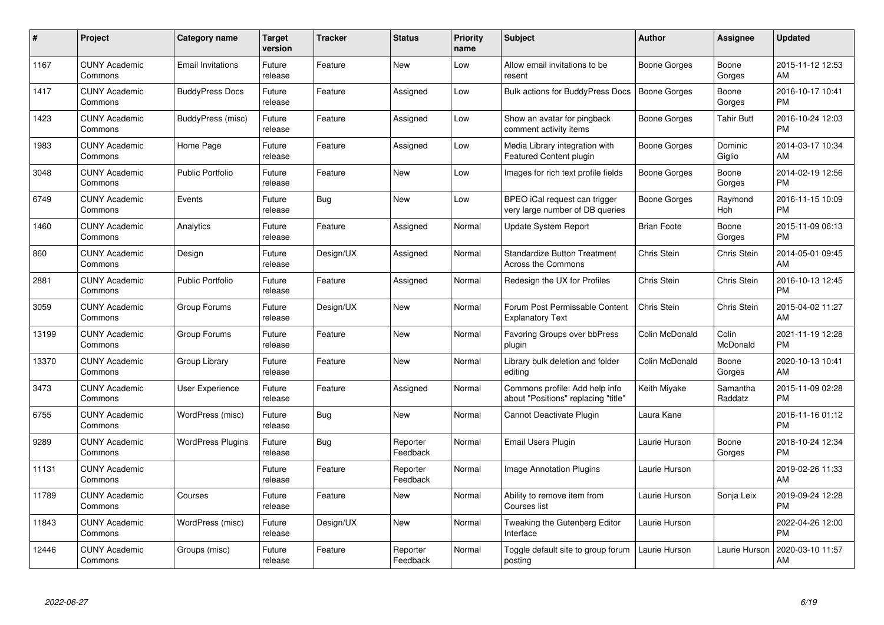| #     | Project                         | <b>Category name</b>     | <b>Target</b><br>version | <b>Tracker</b> | <b>Status</b>        | <b>Priority</b><br>name | <b>Subject</b>                                                        | <b>Author</b>       | <b>Assignee</b>     | <b>Updated</b>                |
|-------|---------------------------------|--------------------------|--------------------------|----------------|----------------------|-------------------------|-----------------------------------------------------------------------|---------------------|---------------------|-------------------------------|
| 1167  | <b>CUNY Academic</b><br>Commons | <b>Email Invitations</b> | Future<br>release        | Feature        | <b>New</b>           | Low                     | Allow email invitations to be<br>resent                               | Boone Gorges        | Boone<br>Gorges     | 2015-11-12 12:53<br>AM        |
| 1417  | <b>CUNY Academic</b><br>Commons | <b>BuddyPress Docs</b>   | Future<br>release        | Feature        | Assigned             | Low                     | Bulk actions for BuddyPress Docs                                      | <b>Boone Gorges</b> | Boone<br>Gorges     | 2016-10-17 10:41<br><b>PM</b> |
| 1423  | <b>CUNY Academic</b><br>Commons | BuddyPress (misc)        | Future<br>release        | Feature        | Assigned             | Low                     | Show an avatar for pingback<br>comment activity items                 | Boone Gorges        | Tahir Butt          | 2016-10-24 12:03<br><b>PM</b> |
| 1983  | <b>CUNY Academic</b><br>Commons | Home Page                | Future<br>release        | Feature        | Assigned             | Low                     | Media Library integration with<br><b>Featured Content plugin</b>      | Boone Gorges        | Dominic<br>Giglio   | 2014-03-17 10:34<br>AM        |
| 3048  | <b>CUNY Academic</b><br>Commons | <b>Public Portfolio</b>  | Future<br>release        | Feature        | <b>New</b>           | Low                     | Images for rich text profile fields                                   | Boone Gorges        | Boone<br>Gorges     | 2014-02-19 12:56<br><b>PM</b> |
| 6749  | <b>CUNY Academic</b><br>Commons | Events                   | Future<br>release        | Bug            | <b>New</b>           | Low                     | BPEO iCal request can trigger<br>very large number of DB queries      | Boone Gorges        | Raymond<br>Hoh      | 2016-11-15 10:09<br><b>PM</b> |
| 1460  | <b>CUNY Academic</b><br>Commons | Analytics                | Future<br>release        | Feature        | Assigned             | Normal                  | Update System Report                                                  | <b>Brian Foote</b>  | Boone<br>Gorges     | 2015-11-09 06:13<br><b>PM</b> |
| 860   | <b>CUNY Academic</b><br>Commons | Design                   | Future<br>release        | Design/UX      | Assigned             | Normal                  | <b>Standardize Button Treatment</b><br><b>Across the Commons</b>      | Chris Stein         | Chris Stein         | 2014-05-01 09:45<br>AM        |
| 2881  | <b>CUNY Academic</b><br>Commons | <b>Public Portfolio</b>  | Future<br>release        | Feature        | Assigned             | Normal                  | Redesign the UX for Profiles                                          | Chris Stein         | Chris Stein         | 2016-10-13 12:45<br><b>PM</b> |
| 3059  | <b>CUNY Academic</b><br>Commons | Group Forums             | Future<br>release        | Design/UX      | <b>New</b>           | Normal                  | Forum Post Permissable Content<br><b>Explanatory Text</b>             | Chris Stein         | Chris Stein         | 2015-04-02 11:27<br>AM        |
| 13199 | <b>CUNY Academic</b><br>Commons | Group Forums             | Future<br>release        | Feature        | <b>New</b>           | Normal                  | <b>Favoring Groups over bbPress</b><br>plugin                         | Colin McDonald      | Colin<br>McDonald   | 2021-11-19 12:28<br><b>PM</b> |
| 13370 | <b>CUNY Academic</b><br>Commons | Group Library            | Future<br>release        | Feature        | <b>New</b>           | Normal                  | Library bulk deletion and folder<br>editing                           | Colin McDonald      | Boone<br>Gorges     | 2020-10-13 10:41<br>AM        |
| 3473  | <b>CUNY Academic</b><br>Commons | User Experience          | Future<br>release        | Feature        | Assigned             | Normal                  | Commons profile: Add help info<br>about "Positions" replacing "title" | Keith Miyake        | Samantha<br>Raddatz | 2015-11-09 02:28<br><b>PM</b> |
| 6755  | <b>CUNY Academic</b><br>Commons | WordPress (misc)         | Future<br>release        | <b>Bug</b>     | New                  | Normal                  | Cannot Deactivate Plugin                                              | Laura Kane          |                     | 2016-11-16 01:12<br><b>PM</b> |
| 9289  | <b>CUNY Academic</b><br>Commons | <b>WordPress Plugins</b> | Future<br>release        | <b>Bug</b>     | Reporter<br>Feedback | Normal                  | Email Users Plugin                                                    | Laurie Hurson       | Boone<br>Gorges     | 2018-10-24 12:34<br><b>PM</b> |
| 11131 | <b>CUNY Academic</b><br>Commons |                          | Future<br>release        | Feature        | Reporter<br>Feedback | Normal                  | <b>Image Annotation Plugins</b>                                       | Laurie Hurson       |                     | 2019-02-26 11:33<br>AM        |
| 11789 | <b>CUNY Academic</b><br>Commons | Courses                  | Future<br>release        | Feature        | <b>New</b>           | Normal                  | Ability to remove item from<br>Courses list                           | Laurie Hurson       | Sonja Leix          | 2019-09-24 12:28<br><b>PM</b> |
| 11843 | <b>CUNY Academic</b><br>Commons | WordPress (misc)         | Future<br>release        | Design/UX      | <b>New</b>           | Normal                  | Tweaking the Gutenberg Editor<br>Interface                            | Laurie Hurson       |                     | 2022-04-26 12:00<br><b>PM</b> |
| 12446 | <b>CUNY Academic</b><br>Commons | Groups (misc)            | Future<br>release        | Feature        | Reporter<br>Feedback | Normal                  | Toggle default site to group forum<br>posting                         | Laurie Hurson       | Laurie Hurson       | 2020-03-10 11:57<br>AM        |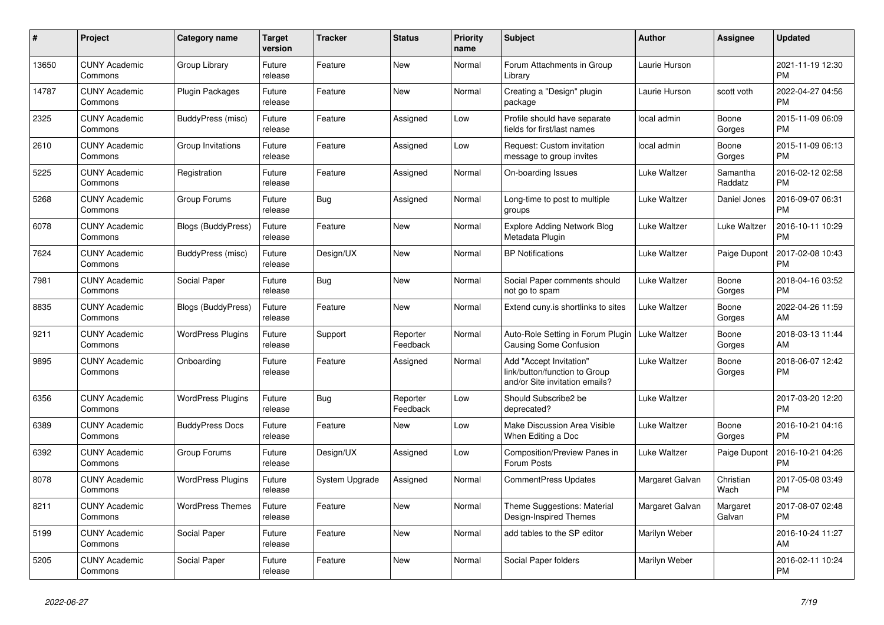| #     | Project                         | Category name             | <b>Target</b><br>version | <b>Tracker</b> | <b>Status</b>        | <b>Priority</b><br>name | <b>Subject</b>                                                                             | <b>Author</b>   | <b>Assignee</b>     | <b>Updated</b>                |
|-------|---------------------------------|---------------------------|--------------------------|----------------|----------------------|-------------------------|--------------------------------------------------------------------------------------------|-----------------|---------------------|-------------------------------|
| 13650 | <b>CUNY Academic</b><br>Commons | Group Library             | Future<br>release        | Feature        | <b>New</b>           | Normal                  | Forum Attachments in Group<br>Library                                                      | Laurie Hurson   |                     | 2021-11-19 12:30<br><b>PM</b> |
| 14787 | <b>CUNY Academic</b><br>Commons | <b>Plugin Packages</b>    | Future<br>release        | Feature        | <b>New</b>           | Normal                  | Creating a "Design" plugin<br>package                                                      | Laurie Hurson   | scott voth          | 2022-04-27 04:56<br><b>PM</b> |
| 2325  | <b>CUNY Academic</b><br>Commons | BuddyPress (misc)         | Future<br>release        | Feature        | Assigned             | Low                     | Profile should have separate<br>fields for first/last names                                | local admin     | Boone<br>Gorges     | 2015-11-09 06:09<br><b>PM</b> |
| 2610  | <b>CUNY Academic</b><br>Commons | Group Invitations         | Future<br>release        | Feature        | Assigned             | Low                     | Request: Custom invitation<br>message to group invites                                     | local admin     | Boone<br>Gorges     | 2015-11-09 06:13<br><b>PM</b> |
| 5225  | <b>CUNY Academic</b><br>Commons | Registration              | Future<br>release        | Feature        | Assigned             | Normal                  | On-boarding Issues                                                                         | Luke Waltzer    | Samantha<br>Raddatz | 2016-02-12 02:58<br><b>PM</b> |
| 5268  | <b>CUNY Academic</b><br>Commons | Group Forums              | Future<br>release        | Bug            | Assigned             | Normal                  | Long-time to post to multiple<br>groups                                                    | Luke Waltzer    | Daniel Jones        | 2016-09-07 06:31<br><b>PM</b> |
| 6078  | <b>CUNY Academic</b><br>Commons | Blogs (BuddyPress)        | Future<br>release        | Feature        | <b>New</b>           | Normal                  | <b>Explore Adding Network Blog</b><br>Metadata Plugin                                      | Luke Waltzer    | Luke Waltzer        | 2016-10-11 10:29<br><b>PM</b> |
| 7624  | <b>CUNY Academic</b><br>Commons | BuddyPress (misc)         | Future<br>release        | Design/UX      | <b>New</b>           | Normal                  | <b>BP Notifications</b>                                                                    | Luke Waltzer    | Paige Dupont        | 2017-02-08 10:43<br><b>PM</b> |
| 7981  | <b>CUNY Academic</b><br>Commons | Social Paper              | Future<br>release        | <b>Bug</b>     | <b>New</b>           | Normal                  | Social Paper comments should<br>not go to spam                                             | Luke Waltzer    | Boone<br>Gorges     | 2018-04-16 03:52<br><b>PM</b> |
| 8835  | <b>CUNY Academic</b><br>Commons | <b>Blogs (BuddyPress)</b> | Future<br>release        | Feature        | <b>New</b>           | Normal                  | Extend cuny is shortlinks to sites                                                         | Luke Waltzer    | Boone<br>Gorges     | 2022-04-26 11:59<br>AM        |
| 9211  | <b>CUNY Academic</b><br>Commons | <b>WordPress Plugins</b>  | Future<br>release        | Support        | Reporter<br>Feedback | Normal                  | Auto-Role Setting in Forum Plugin<br>Causing Some Confusion                                | Luke Waltzer    | Boone<br>Gorges     | 2018-03-13 11:44<br>AM        |
| 9895  | <b>CUNY Academic</b><br>Commons | Onboarding                | Future<br>release        | Feature        | Assigned             | Normal                  | Add "Accept Invitation"<br>link/button/function to Group<br>and/or Site invitation emails? | Luke Waltzer    | Boone<br>Gorges     | 2018-06-07 12:42<br><b>PM</b> |
| 6356  | <b>CUNY Academic</b><br>Commons | <b>WordPress Plugins</b>  | Future<br>release        | <b>Bug</b>     | Reporter<br>Feedback | Low                     | Should Subscribe2 be<br>deprecated?                                                        | Luke Waltzer    |                     | 2017-03-20 12:20<br><b>PM</b> |
| 6389  | <b>CUNY Academic</b><br>Commons | <b>BuddyPress Docs</b>    | Future<br>release        | Feature        | <b>New</b>           | Low                     | Make Discussion Area Visible<br>When Editing a Doc                                         | Luke Waltzer    | Boone<br>Gorges     | 2016-10-21 04:16<br><b>PM</b> |
| 6392  | <b>CUNY Academic</b><br>Commons | Group Forums              | Future<br>release        | Design/UX      | Assigned             | Low                     | Composition/Preview Panes in<br>Forum Posts                                                | Luke Waltzer    | Paige Dupont        | 2016-10-21 04:26<br><b>PM</b> |
| 8078  | <b>CUNY Academic</b><br>Commons | <b>WordPress Plugins</b>  | Future<br>release        | System Upgrade | Assigned             | Normal                  | <b>CommentPress Updates</b>                                                                | Margaret Galvan | Christian<br>Wach   | 2017-05-08 03:49<br><b>PM</b> |
| 8211  | <b>CUNY Academic</b><br>Commons | <b>WordPress Themes</b>   | Future<br>release        | Feature        | <b>New</b>           | Normal                  | Theme Suggestions: Material<br>Design-Inspired Themes                                      | Margaret Galvan | Margaret<br>Galvan  | 2017-08-07 02:48<br><b>PM</b> |
| 5199  | <b>CUNY Academic</b><br>Commons | Social Paper              | Future<br>release        | Feature        | <b>New</b>           | Normal                  | add tables to the SP editor                                                                | Marilyn Weber   |                     | 2016-10-24 11:27<br>AM        |
| 5205  | <b>CUNY Academic</b><br>Commons | Social Paper              | Future<br>release        | Feature        | <b>New</b>           | Normal                  | Social Paper folders                                                                       | Marilyn Weber   |                     | 2016-02-11 10:24<br><b>PM</b> |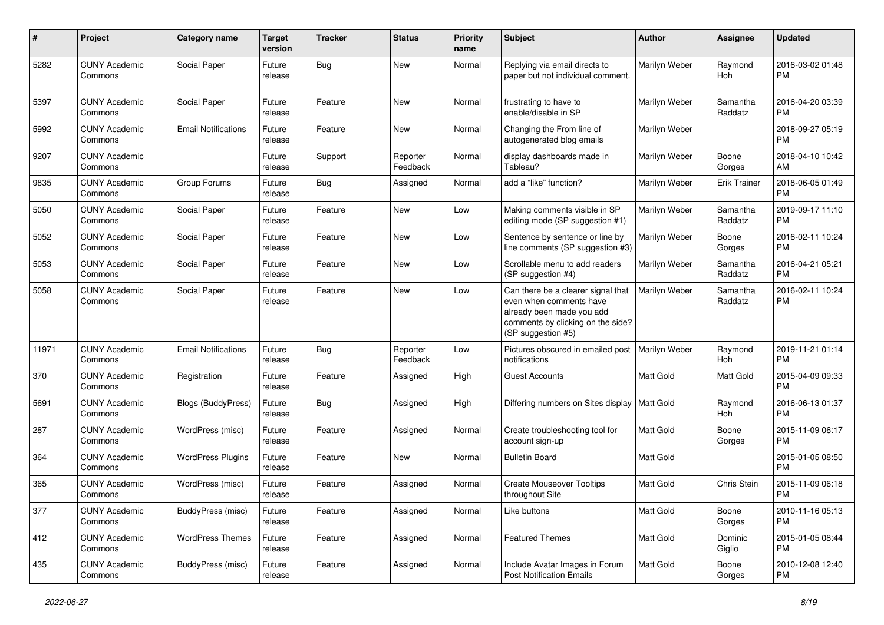| #     | Project                         | <b>Category name</b>       | <b>Target</b><br>version | <b>Tracker</b> | <b>Status</b>        | <b>Priority</b><br>name | <b>Subject</b>                                                                                                                                        | Author               | <b>Assignee</b>     | <b>Updated</b>                |
|-------|---------------------------------|----------------------------|--------------------------|----------------|----------------------|-------------------------|-------------------------------------------------------------------------------------------------------------------------------------------------------|----------------------|---------------------|-------------------------------|
| 5282  | <b>CUNY Academic</b><br>Commons | Social Paper               | Future<br>release        | Bug            | <b>New</b>           | Normal                  | Replying via email directs to<br>paper but not individual comment.                                                                                    | Marilyn Weber        | Raymond<br>Hoh      | 2016-03-02 01:48<br><b>PM</b> |
| 5397  | <b>CUNY Academic</b><br>Commons | Social Paper               | Future<br>release        | Feature        | New                  | Normal                  | frustrating to have to<br>enable/disable in SP                                                                                                        | Marilyn Weber        | Samantha<br>Raddatz | 2016-04-20 03:39<br><b>PM</b> |
| 5992  | <b>CUNY Academic</b><br>Commons | <b>Email Notifications</b> | Future<br>release        | Feature        | <b>New</b>           | Normal                  | Changing the From line of<br>autogenerated blog emails                                                                                                | Marilyn Weber        |                     | 2018-09-27 05:19<br><b>PM</b> |
| 9207  | <b>CUNY Academic</b><br>Commons |                            | Future<br>release        | Support        | Reporter<br>Feedback | Normal                  | display dashboards made in<br>Tableau?                                                                                                                | Marilyn Weber        | Boone<br>Gorges     | 2018-04-10 10:42<br>AM        |
| 9835  | <b>CUNY Academic</b><br>Commons | Group Forums               | Future<br>release        | Bug            | Assigned             | Normal                  | add a "like" function?                                                                                                                                | Marilyn Weber        | <b>Erik Trainer</b> | 2018-06-05 01:49<br>PM        |
| 5050  | <b>CUNY Academic</b><br>Commons | Social Paper               | Future<br>release        | Feature        | <b>New</b>           | Low                     | Making comments visible in SP<br>editing mode (SP suggestion #1)                                                                                      | Marilyn Weber        | Samantha<br>Raddatz | 2019-09-17 11:10<br><b>PM</b> |
| 5052  | <b>CUNY Academic</b><br>Commons | Social Paper               | Future<br>release        | Feature        | New                  | Low                     | Sentence by sentence or line by<br>line comments (SP suggestion #3)                                                                                   | Marilyn Weber        | Boone<br>Gorges     | 2016-02-11 10:24<br><b>PM</b> |
| 5053  | <b>CUNY Academic</b><br>Commons | Social Paper               | Future<br>release        | Feature        | <b>New</b>           | Low                     | Scrollable menu to add readers<br>(SP suggestion #4)                                                                                                  | Marilyn Weber        | Samantha<br>Raddatz | 2016-04-21 05:21<br><b>PM</b> |
| 5058  | <b>CUNY Academic</b><br>Commons | Social Paper               | Future<br>release        | Feature        | <b>New</b>           | Low                     | Can there be a clearer signal that<br>even when comments have<br>already been made you add<br>comments by clicking on the side?<br>(SP suggestion #5) | Marilyn Weber        | Samantha<br>Raddatz | 2016-02-11 10:24<br><b>PM</b> |
| 11971 | <b>CUNY Academic</b><br>Commons | <b>Email Notifications</b> | Future<br>release        | Bug            | Reporter<br>Feedback | Low                     | Pictures obscured in emailed post<br>notifications                                                                                                    | <b>Marilyn Weber</b> | Raymond<br>Hoh      | 2019-11-21 01:14<br><b>PM</b> |
| 370   | <b>CUNY Academic</b><br>Commons | Registration               | Future<br>release        | Feature        | Assigned             | High                    | <b>Guest Accounts</b>                                                                                                                                 | <b>Matt Gold</b>     | Matt Gold           | 2015-04-09 09:33<br><b>PM</b> |
| 5691  | <b>CUNY Academic</b><br>Commons | Blogs (BuddyPress)         | Future<br>release        | Bug            | Assigned             | High                    | Differing numbers on Sites display                                                                                                                    | Matt Gold            | Raymond<br>Hoh      | 2016-06-13 01:37<br><b>PM</b> |
| 287   | <b>CUNY Academic</b><br>Commons | WordPress (misc)           | Future<br>release        | Feature        | Assigned             | Normal                  | Create troubleshooting tool for<br>account sign-up                                                                                                    | <b>Matt Gold</b>     | Boone<br>Gorges     | 2015-11-09 06:17<br><b>PM</b> |
| 364   | <b>CUNY Academic</b><br>Commons | <b>WordPress Plugins</b>   | Future<br>release        | Feature        | New                  | Normal                  | <b>Bulletin Board</b>                                                                                                                                 | Matt Gold            |                     | 2015-01-05 08:50<br><b>PM</b> |
| 365   | <b>CUNY Academic</b><br>Commons | WordPress (misc)           | Future<br>release        | Feature        | Assigned             | Normal                  | <b>Create Mouseover Tooltips</b><br>throughout Site                                                                                                   | Matt Gold            | Chris Stein         | 2015-11-09 06:18<br>PM        |
| 377   | <b>CUNY Academic</b><br>Commons | <b>BuddyPress</b> (misc)   | Future<br>release        | Feature        | Assigned             | Normal                  | Like buttons                                                                                                                                          | Matt Gold            | Boone<br>Gorges     | 2010-11-16 05:13<br><b>PM</b> |
| 412   | <b>CUNY Academic</b><br>Commons | <b>WordPress Themes</b>    | Future<br>release        | Feature        | Assigned             | Normal                  | <b>Featured Themes</b>                                                                                                                                | Matt Gold            | Dominic<br>Giglio   | 2015-01-05 08:44<br>PM        |
| 435   | <b>CUNY Academic</b><br>Commons | BuddyPress (misc)          | Future<br>release        | Feature        | Assigned             | Normal                  | Include Avatar Images in Forum<br><b>Post Notification Emails</b>                                                                                     | Matt Gold            | Boone<br>Gorges     | 2010-12-08 12:40<br>PM        |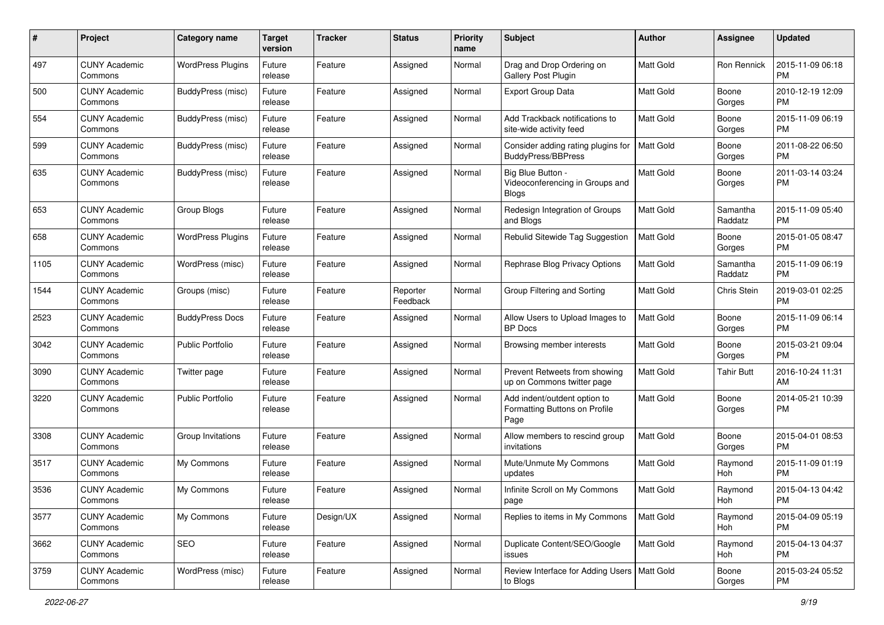| #    | Project                         | <b>Category name</b>     | <b>Target</b><br>version | <b>Tracker</b> | <b>Status</b>        | <b>Priority</b><br>name | Subject                                                               | Author           | <b>Assignee</b>     | <b>Updated</b>                |
|------|---------------------------------|--------------------------|--------------------------|----------------|----------------------|-------------------------|-----------------------------------------------------------------------|------------------|---------------------|-------------------------------|
| 497  | <b>CUNY Academic</b><br>Commons | <b>WordPress Plugins</b> | Future<br>release        | Feature        | Assigned             | Normal                  | Drag and Drop Ordering on<br>Gallery Post Plugin                      | <b>Matt Gold</b> | Ron Rennick         | 2015-11-09 06:18<br><b>PM</b> |
| 500  | <b>CUNY Academic</b><br>Commons | BuddyPress (misc)        | Future<br>release        | Feature        | Assigned             | Normal                  | <b>Export Group Data</b>                                              | Matt Gold        | Boone<br>Gorges     | 2010-12-19 12:09<br>PM        |
| 554  | <b>CUNY Academic</b><br>Commons | BuddyPress (misc)        | Future<br>release        | Feature        | Assigned             | Normal                  | Add Trackback notifications to<br>site-wide activity feed             | Matt Gold        | Boone<br>Gorges     | 2015-11-09 06:19<br><b>PM</b> |
| 599  | <b>CUNY Academic</b><br>Commons | BuddyPress (misc)        | Future<br>release        | Feature        | Assigned             | Normal                  | Consider adding rating plugins for<br><b>BuddyPress/BBPress</b>       | <b>Matt Gold</b> | Boone<br>Gorges     | 2011-08-22 06:50<br>PM        |
| 635  | <b>CUNY Academic</b><br>Commons | BuddyPress (misc)        | Future<br>release        | Feature        | Assigned             | Normal                  | Big Blue Button -<br>Videoconferencing in Groups and<br><b>Blogs</b>  | Matt Gold        | Boone<br>Gorges     | 2011-03-14 03:24<br>PM        |
| 653  | <b>CUNY Academic</b><br>Commons | Group Blogs              | Future<br>release        | Feature        | Assigned             | Normal                  | Redesign Integration of Groups<br>and Blogs                           | <b>Matt Gold</b> | Samantha<br>Raddatz | 2015-11-09 05:40<br><b>PM</b> |
| 658  | <b>CUNY Academic</b><br>Commons | <b>WordPress Plugins</b> | Future<br>release        | Feature        | Assigned             | Normal                  | Rebulid Sitewide Tag Suggestion                                       | <b>Matt Gold</b> | Boone<br>Gorges     | 2015-01-05 08:47<br>PM        |
| 1105 | <b>CUNY Academic</b><br>Commons | WordPress (misc)         | Future<br>release        | Feature        | Assigned             | Normal                  | Rephrase Blog Privacy Options                                         | Matt Gold        | Samantha<br>Raddatz | 2015-11-09 06:19<br>PM        |
| 1544 | <b>CUNY Academic</b><br>Commons | Groups (misc)            | Future<br>release        | Feature        | Reporter<br>Feedback | Normal                  | Group Filtering and Sorting                                           | <b>Matt Gold</b> | Chris Stein         | 2019-03-01 02:25<br><b>PM</b> |
| 2523 | <b>CUNY Academic</b><br>Commons | <b>BuddyPress Docs</b>   | Future<br>release        | Feature        | Assigned             | Normal                  | Allow Users to Upload Images to<br><b>BP</b> Docs                     | Matt Gold        | Boone<br>Gorges     | 2015-11-09 06:14<br><b>PM</b> |
| 3042 | <b>CUNY Academic</b><br>Commons | <b>Public Portfolio</b>  | Future<br>release        | Feature        | Assigned             | Normal                  | Browsing member interests                                             | Matt Gold        | Boone<br>Gorges     | 2015-03-21 09:04<br><b>PM</b> |
| 3090 | <b>CUNY Academic</b><br>Commons | Twitter page             | Future<br>release        | Feature        | Assigned             | Normal                  | Prevent Retweets from showing<br>up on Commons twitter page           | <b>Matt Gold</b> | <b>Tahir Butt</b>   | 2016-10-24 11:31<br>AM        |
| 3220 | <b>CUNY Academic</b><br>Commons | <b>Public Portfolio</b>  | Future<br>release        | Feature        | Assigned             | Normal                  | Add indent/outdent option to<br>Formatting Buttons on Profile<br>Page | <b>Matt Gold</b> | Boone<br>Gorges     | 2014-05-21 10:39<br><b>PM</b> |
| 3308 | <b>CUNY Academic</b><br>Commons | Group Invitations        | Future<br>release        | Feature        | Assigned             | Normal                  | Allow members to rescind group<br>invitations                         | <b>Matt Gold</b> | Boone<br>Gorges     | 2015-04-01 08:53<br><b>PM</b> |
| 3517 | <b>CUNY Academic</b><br>Commons | My Commons               | Future<br>release        | Feature        | Assigned             | Normal                  | Mute/Unmute My Commons<br>updates                                     | Matt Gold        | Raymond<br>Hoh      | 2015-11-09 01:19<br><b>PM</b> |
| 3536 | <b>CUNY Academic</b><br>Commons | My Commons               | Future<br>release        | Feature        | Assigned             | Normal                  | Infinite Scroll on My Commons<br>page                                 | Matt Gold        | Raymond<br>Hoh      | 2015-04-13 04:42<br>PM        |
| 3577 | <b>CUNY Academic</b><br>Commons | My Commons               | Future<br>release        | Design/UX      | Assigned             | Normal                  | Replies to items in My Commons                                        | <b>Matt Gold</b> | Raymond<br>Hoh      | 2015-04-09 05:19<br>PM        |
| 3662 | <b>CUNY Academic</b><br>Commons | SEO                      | Future<br>release        | Feature        | Assigned             | Normal                  | Duplicate Content/SEO/Google<br>issues                                | Matt Gold        | Raymond<br>Hoh      | 2015-04-13 04:37<br>PM        |
| 3759 | <b>CUNY Academic</b><br>Commons | WordPress (misc)         | Future<br>release        | Feature        | Assigned             | Normal                  | Review Interface for Adding Users   Matt Gold<br>to Blogs             |                  | Boone<br>Gorges     | 2015-03-24 05:52<br>PM        |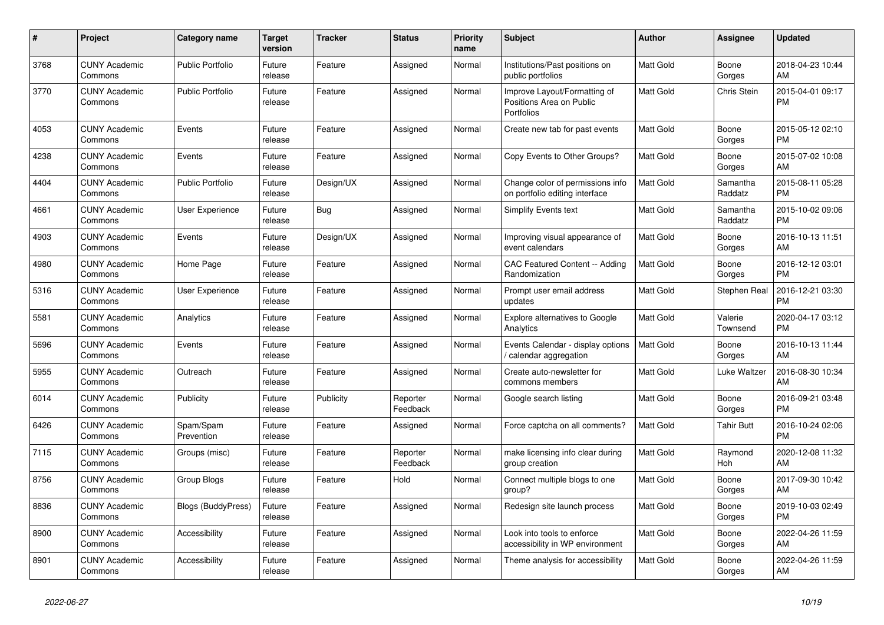| #    | Project                         | <b>Category name</b>      | <b>Target</b><br>version | <b>Tracker</b> | <b>Status</b>        | <b>Priority</b><br>name | <b>Subject</b>                                                         | <b>Author</b>    | Assignee            | <b>Updated</b>                |
|------|---------------------------------|---------------------------|--------------------------|----------------|----------------------|-------------------------|------------------------------------------------------------------------|------------------|---------------------|-------------------------------|
| 3768 | <b>CUNY Academic</b><br>Commons | <b>Public Portfolio</b>   | Future<br>release        | Feature        | Assigned             | Normal                  | Institutions/Past positions on<br>public portfolios                    | <b>Matt Gold</b> | Boone<br>Gorges     | 2018-04-23 10:44<br>AM        |
| 3770 | <b>CUNY Academic</b><br>Commons | <b>Public Portfolio</b>   | Future<br>release        | Feature        | Assigned             | Normal                  | Improve Layout/Formatting of<br>Positions Area on Public<br>Portfolios | Matt Gold        | Chris Stein         | 2015-04-01 09:17<br><b>PM</b> |
| 4053 | <b>CUNY Academic</b><br>Commons | Events                    | Future<br>release        | Feature        | Assigned             | Normal                  | Create new tab for past events                                         | Matt Gold        | Boone<br>Gorges     | 2015-05-12 02:10<br><b>PM</b> |
| 4238 | <b>CUNY Academic</b><br>Commons | Events                    | Future<br>release        | Feature        | Assigned             | Normal                  | Copy Events to Other Groups?                                           | Matt Gold        | Boone<br>Gorges     | 2015-07-02 10:08<br>AM        |
| 4404 | <b>CUNY Academic</b><br>Commons | <b>Public Portfolio</b>   | Future<br>release        | Design/UX      | Assigned             | Normal                  | Change color of permissions info<br>on portfolio editing interface     | <b>Matt Gold</b> | Samantha<br>Raddatz | 2015-08-11 05:28<br><b>PM</b> |
| 4661 | <b>CUNY Academic</b><br>Commons | User Experience           | Future<br>release        | <b>Bug</b>     | Assigned             | Normal                  | Simplify Events text                                                   | <b>Matt Gold</b> | Samantha<br>Raddatz | 2015-10-02 09:06<br><b>PM</b> |
| 4903 | <b>CUNY Academic</b><br>Commons | Events                    | Future<br>release        | Design/UX      | Assigned             | Normal                  | Improving visual appearance of<br>event calendars                      | Matt Gold        | Boone<br>Gorges     | 2016-10-13 11:51<br>AM        |
| 4980 | <b>CUNY Academic</b><br>Commons | Home Page                 | Future<br>release        | Feature        | Assigned             | Normal                  | CAC Featured Content -- Adding<br>Randomization                        | <b>Matt Gold</b> | Boone<br>Gorges     | 2016-12-12 03:01<br><b>PM</b> |
| 5316 | <b>CUNY Academic</b><br>Commons | User Experience           | Future<br>release        | Feature        | Assigned             | Normal                  | Prompt user email address<br>updates                                   | Matt Gold        | Stephen Real        | 2016-12-21 03:30<br>PM        |
| 5581 | <b>CUNY Academic</b><br>Commons | Analytics                 | Future<br>release        | Feature        | Assigned             | Normal                  | <b>Explore alternatives to Google</b><br>Analytics                     | Matt Gold        | Valerie<br>Townsend | 2020-04-17 03:12<br><b>PM</b> |
| 5696 | <b>CUNY Academic</b><br>Commons | Events                    | Future<br>release        | Feature        | Assigned             | Normal                  | Events Calendar - display options<br>calendar aggregation              | <b>Matt Gold</b> | Boone<br>Gorges     | 2016-10-13 11:44<br>AM        |
| 5955 | <b>CUNY Academic</b><br>Commons | Outreach                  | Future<br>release        | Feature        | Assigned             | Normal                  | Create auto-newsletter for<br>commons members                          | Matt Gold        | Luke Waltzer        | 2016-08-30 10:34<br>AM        |
| 6014 | <b>CUNY Academic</b><br>Commons | Publicity                 | Future<br>release        | Publicity      | Reporter<br>Feedback | Normal                  | Google search listing                                                  | Matt Gold        | Boone<br>Gorges     | 2016-09-21 03:48<br><b>PM</b> |
| 6426 | <b>CUNY Academic</b><br>Commons | Spam/Spam<br>Prevention   | Future<br>release        | Feature        | Assigned             | Normal                  | Force captcha on all comments?                                         | Matt Gold        | <b>Tahir Butt</b>   | 2016-10-24 02:06<br><b>PM</b> |
| 7115 | <b>CUNY Academic</b><br>Commons | Groups (misc)             | Future<br>release        | Feature        | Reporter<br>Feedback | Normal                  | make licensing info clear during<br>group creation                     | Matt Gold        | Raymond<br>Hoh      | 2020-12-08 11:32<br>AM        |
| 8756 | <b>CUNY Academic</b><br>Commons | Group Blogs               | Future<br>release        | Feature        | Hold                 | Normal                  | Connect multiple blogs to one<br>group?                                | Matt Gold        | Boone<br>Gorges     | 2017-09-30 10:42<br>AM        |
| 8836 | <b>CUNY Academic</b><br>Commons | <b>Blogs (BuddyPress)</b> | Future<br>release        | Feature        | Assigned             | Normal                  | Redesign site launch process                                           | Matt Gold        | Boone<br>Gorges     | 2019-10-03 02:49<br><b>PM</b> |
| 8900 | <b>CUNY Academic</b><br>Commons | Accessibility             | Future<br>release        | Feature        | Assigned             | Normal                  | Look into tools to enforce<br>accessibility in WP environment          | Matt Gold        | Boone<br>Gorges     | 2022-04-26 11:59<br>AM        |
| 8901 | <b>CUNY Academic</b><br>Commons | Accessibility             | Future<br>release        | Feature        | Assigned             | Normal                  | Theme analysis for accessibility                                       | <b>Matt Gold</b> | Boone<br>Gorges     | 2022-04-26 11:59<br>AM        |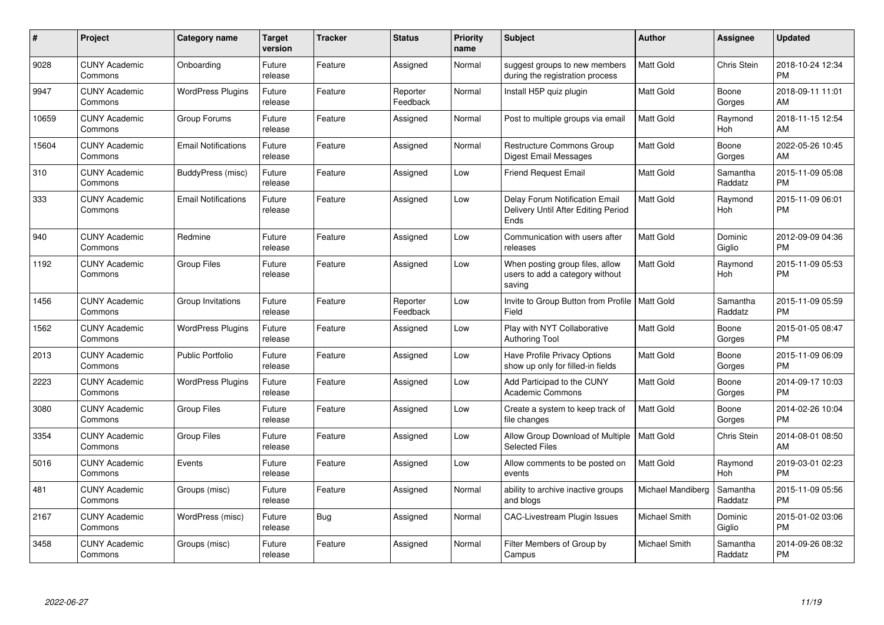| #     | Project                         | <b>Category name</b>       | Target<br>version | <b>Tracker</b> | <b>Status</b>        | <b>Priority</b><br>name | <b>Subject</b>                                                                       | <b>Author</b>        | <b>Assignee</b>     | <b>Updated</b>                |
|-------|---------------------------------|----------------------------|-------------------|----------------|----------------------|-------------------------|--------------------------------------------------------------------------------------|----------------------|---------------------|-------------------------------|
| 9028  | <b>CUNY Academic</b><br>Commons | Onboarding                 | Future<br>release | Feature        | Assigned             | Normal                  | suggest groups to new members<br>during the registration process                     | <b>Matt Gold</b>     | Chris Stein         | 2018-10-24 12:34<br><b>PM</b> |
| 9947  | <b>CUNY Academic</b><br>Commons | <b>WordPress Plugins</b>   | Future<br>release | Feature        | Reporter<br>Feedback | Normal                  | Install H5P quiz plugin                                                              | Matt Gold            | Boone<br>Gorges     | 2018-09-11 11:01<br>AM        |
| 10659 | <b>CUNY Academic</b><br>Commons | Group Forums               | Future<br>release | Feature        | Assigned             | Normal                  | Post to multiple groups via email                                                    | <b>Matt Gold</b>     | Raymond<br>Hoh      | 2018-11-15 12:54<br>AM        |
| 15604 | <b>CUNY Academic</b><br>Commons | <b>Email Notifications</b> | Future<br>release | Feature        | Assigned             | Normal                  | Restructure Commons Group<br><b>Digest Email Messages</b>                            | Matt Gold            | Boone<br>Gorges     | 2022-05-26 10:45<br>AM        |
| 310   | <b>CUNY Academic</b><br>Commons | BuddyPress (misc)          | Future<br>release | Feature        | Assigned             | Low                     | <b>Friend Request Email</b>                                                          | <b>Matt Gold</b>     | Samantha<br>Raddatz | 2015-11-09 05:08<br><b>PM</b> |
| 333   | <b>CUNY Academic</b><br>Commons | <b>Email Notifications</b> | Future<br>release | Feature        | Assigned             | Low                     | <b>Delay Forum Notification Email</b><br>Delivery Until After Editing Period<br>Ends | <b>Matt Gold</b>     | Raymond<br>Hoh      | 2015-11-09 06:01<br><b>PM</b> |
| 940   | <b>CUNY Academic</b><br>Commons | Redmine                    | Future<br>release | Feature        | Assigned             | Low                     | Communication with users after<br>releases                                           | <b>Matt Gold</b>     | Dominic<br>Giglio   | 2012-09-09 04:36<br><b>PM</b> |
| 1192  | <b>CUNY Academic</b><br>Commons | Group Files                | Future<br>release | Feature        | Assigned             | Low                     | When posting group files, allow<br>users to add a category without<br>saving         | <b>Matt Gold</b>     | Raymond<br>Hoh      | 2015-11-09 05:53<br><b>PM</b> |
| 1456  | <b>CUNY Academic</b><br>Commons | Group Invitations          | Future<br>release | Feature        | Reporter<br>Feedback | Low                     | Invite to Group Button from Profile<br>Field                                         | <b>Matt Gold</b>     | Samantha<br>Raddatz | 2015-11-09 05:59<br><b>PM</b> |
| 1562  | <b>CUNY Academic</b><br>Commons | <b>WordPress Plugins</b>   | Future<br>release | Feature        | Assigned             | Low                     | Play with NYT Collaborative<br><b>Authoring Tool</b>                                 | <b>Matt Gold</b>     | Boone<br>Gorges     | 2015-01-05 08:47<br><b>PM</b> |
| 2013  | <b>CUNY Academic</b><br>Commons | <b>Public Portfolio</b>    | Future<br>release | Feature        | Assigned             | Low                     | <b>Have Profile Privacy Options</b><br>show up only for filled-in fields             | <b>Matt Gold</b>     | Boone<br>Gorges     | 2015-11-09 06:09<br><b>PM</b> |
| 2223  | <b>CUNY Academic</b><br>Commons | <b>WordPress Plugins</b>   | Future<br>release | Feature        | Assigned             | Low                     | Add Participad to the CUNY<br><b>Academic Commons</b>                                | <b>Matt Gold</b>     | Boone<br>Gorges     | 2014-09-17 10:03<br><b>PM</b> |
| 3080  | <b>CUNY Academic</b><br>Commons | <b>Group Files</b>         | Future<br>release | Feature        | Assigned             | Low                     | Create a system to keep track of<br>file changes                                     | Matt Gold            | Boone<br>Gorges     | 2014-02-26 10:04<br><b>PM</b> |
| 3354  | <b>CUNY Academic</b><br>Commons | <b>Group Files</b>         | Future<br>release | Feature        | Assigned             | Low                     | Allow Group Download of Multiple<br><b>Selected Files</b>                            | <b>Matt Gold</b>     | Chris Stein         | 2014-08-01 08:50<br>AM        |
| 5016  | <b>CUNY Academic</b><br>Commons | Events                     | Future<br>release | Feature        | Assigned             | Low                     | Allow comments to be posted on<br>events                                             | Matt Gold            | Raymond<br>Hoh      | 2019-03-01 02:23<br><b>PM</b> |
| 481   | <b>CUNY Academic</b><br>Commons | Groups (misc)              | Future<br>release | Feature        | Assigned             | Normal                  | ability to archive inactive groups<br>and blogs                                      | Michael Mandiberg    | Samantha<br>Raddatz | 2015-11-09 05:56<br><b>PM</b> |
| 2167  | <b>CUNY Academic</b><br>Commons | WordPress (misc)           | Future<br>release | <b>Bug</b>     | Assigned             | Normal                  | CAC-Livestream Plugin Issues                                                         | Michael Smith        | Dominic<br>Giglio   | 2015-01-02 03:06<br><b>PM</b> |
| 3458  | <b>CUNY Academic</b><br>Commons | Groups (misc)              | Future<br>release | Feature        | Assigned             | Normal                  | Filter Members of Group by<br>Campus                                                 | <b>Michael Smith</b> | Samantha<br>Raddatz | 2014-09-26 08:32<br><b>PM</b> |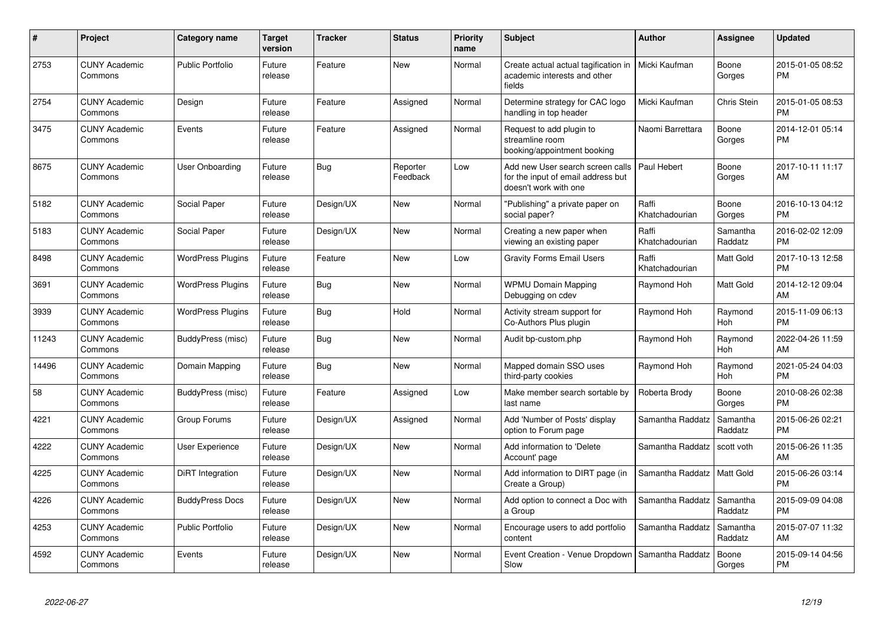| #     | Project                         | <b>Category name</b>     | Target<br>version | <b>Tracker</b> | <b>Status</b>        | <b>Priority</b><br>name | <b>Subject</b>                                                                                  | <b>Author</b>           | <b>Assignee</b>       | <b>Updated</b>                |
|-------|---------------------------------|--------------------------|-------------------|----------------|----------------------|-------------------------|-------------------------------------------------------------------------------------------------|-------------------------|-----------------------|-------------------------------|
| 2753  | <b>CUNY Academic</b><br>Commons | <b>Public Portfolio</b>  | Future<br>release | Feature        | <b>New</b>           | Normal                  | Create actual actual tagification in<br>academic interests and other<br>fields                  | Micki Kaufman           | Boone<br>Gorges       | 2015-01-05 08:52<br><b>PM</b> |
| 2754  | <b>CUNY Academic</b><br>Commons | Design                   | Future<br>release | Feature        | Assigned             | Normal                  | Determine strategy for CAC logo<br>handling in top header                                       | Micki Kaufman           | Chris Stein           | 2015-01-05 08:53<br><b>PM</b> |
| 3475  | <b>CUNY Academic</b><br>Commons | Events                   | Future<br>release | Feature        | Assigned             | Normal                  | Request to add plugin to<br>streamline room<br>booking/appointment booking                      | Naomi Barrettara        | Boone<br>Gorges       | 2014-12-01 05:14<br><b>PM</b> |
| 8675  | <b>CUNY Academic</b><br>Commons | <b>User Onboarding</b>   | Future<br>release | Bug            | Reporter<br>Feedback | Low                     | Add new User search screen calls<br>for the input of email address but<br>doesn't work with one | Paul Hebert             | Boone<br>Gorges       | 2017-10-11 11:17<br>AM        |
| 5182  | <b>CUNY Academic</b><br>Commons | Social Paper             | Future<br>release | Design/UX      | New                  | Normal                  | "Publishing" a private paper on<br>social paper?                                                | Raffi<br>Khatchadourian | Boone<br>Gorges       | 2016-10-13 04:12<br><b>PM</b> |
| 5183  | <b>CUNY Academic</b><br>Commons | Social Paper             | Future<br>release | Design/UX      | New                  | Normal                  | Creating a new paper when<br>viewing an existing paper                                          | Raffi<br>Khatchadourian | Samantha<br>Raddatz   | 2016-02-02 12:09<br><b>PM</b> |
| 8498  | <b>CUNY Academic</b><br>Commons | <b>WordPress Plugins</b> | Future<br>release | Feature        | New                  | Low                     | <b>Gravity Forms Email Users</b>                                                                | Raffi<br>Khatchadourian | Matt Gold             | 2017-10-13 12:58<br><b>PM</b> |
| 3691  | <b>CUNY Academic</b><br>Commons | <b>WordPress Plugins</b> | Future<br>release | Bug            | <b>New</b>           | Normal                  | <b>WPMU Domain Mapping</b><br>Debugging on cdev                                                 | Raymond Hoh             | Matt Gold             | 2014-12-12 09:04<br>AM        |
| 3939  | <b>CUNY Academic</b><br>Commons | <b>WordPress Plugins</b> | Future<br>release | <b>Bug</b>     | Hold                 | Normal                  | Activity stream support for<br>Co-Authors Plus plugin                                           | Raymond Hoh             | Raymond<br><b>Hoh</b> | 2015-11-09 06:13<br><b>PM</b> |
| 11243 | <b>CUNY Academic</b><br>Commons | BuddyPress (misc)        | Future<br>release | Bug            | <b>New</b>           | Normal                  | Audit bp-custom.php                                                                             | Raymond Hoh             | Raymond<br><b>Hoh</b> | 2022-04-26 11:59<br>AM        |
| 14496 | <b>CUNY Academic</b><br>Commons | Domain Mapping           | Future<br>release | <b>Bug</b>     | <b>New</b>           | Normal                  | Mapped domain SSO uses<br>third-party cookies                                                   | Raymond Hoh             | Raymond<br>Hoh        | 2021-05-24 04:03<br><b>PM</b> |
| 58    | <b>CUNY Academic</b><br>Commons | BuddyPress (misc)        | Future<br>release | Feature        | Assigned             | Low                     | Make member search sortable by<br>last name                                                     | Roberta Brody           | Boone<br>Gorges       | 2010-08-26 02:38<br><b>PM</b> |
| 4221  | <b>CUNY Academic</b><br>Commons | Group Forums             | Future<br>release | Design/UX      | Assigned             | Normal                  | Add 'Number of Posts' display<br>option to Forum page                                           | Samantha Raddatz        | Samantha<br>Raddatz   | 2015-06-26 02:21<br><b>PM</b> |
| 4222  | <b>CUNY Academic</b><br>Commons | <b>User Experience</b>   | Future<br>release | Design/UX      | <b>New</b>           | Normal                  | Add information to 'Delete<br>Account' page                                                     | Samantha Raddatz        | scott voth            | 2015-06-26 11:35<br>AM        |
| 4225  | <b>CUNY Academic</b><br>Commons | DiRT Integration         | Future<br>release | Design/UX      | <b>New</b>           | Normal                  | Add information to DIRT page (in<br>Create a Group)                                             | Samantha Raddatz        | <b>Matt Gold</b>      | 2015-06-26 03:14<br><b>PM</b> |
| 4226  | <b>CUNY Academic</b><br>Commons | <b>BuddyPress Docs</b>   | Future<br>release | Design/UX      | <b>New</b>           | Normal                  | Add option to connect a Doc with<br>a Group                                                     | Samantha Raddatz        | Samantha<br>Raddatz   | 2015-09-09 04:08<br><b>PM</b> |
| 4253  | <b>CUNY Academic</b><br>Commons | Public Portfolio         | Future<br>release | Design/UX      | <b>New</b>           | Normal                  | Encourage users to add portfolio<br>content                                                     | Samantha Raddatz        | Samantha<br>Raddatz   | 2015-07-07 11:32<br>AM        |
| 4592  | <b>CUNY Academic</b><br>Commons | Events                   | Future<br>release | Design/UX      | <b>New</b>           | Normal                  | Event Creation - Venue Dropdown<br>Slow                                                         | Samantha Raddatz        | Boone<br>Gorges       | 2015-09-14 04:56<br><b>PM</b> |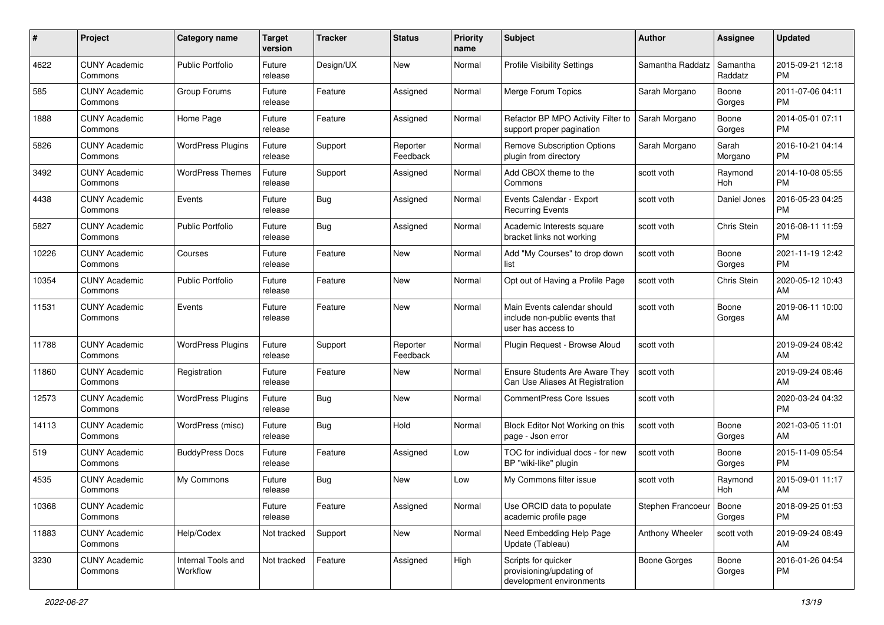| #     | Project                         | <b>Category name</b>           | <b>Target</b><br>version | <b>Tracker</b> | <b>Status</b>        | <b>Priority</b><br>name | Subject                                                                             | Author            | <b>Assignee</b>     | <b>Updated</b>                |
|-------|---------------------------------|--------------------------------|--------------------------|----------------|----------------------|-------------------------|-------------------------------------------------------------------------------------|-------------------|---------------------|-------------------------------|
| 4622  | <b>CUNY Academic</b><br>Commons | <b>Public Portfolio</b>        | Future<br>release        | Design/UX      | New                  | Normal                  | Profile Visibility Settings                                                         | Samantha Raddatz  | Samantha<br>Raddatz | 2015-09-21 12:18<br><b>PM</b> |
| 585   | <b>CUNY Academic</b><br>Commons | Group Forums                   | Future<br>release        | Feature        | Assigned             | Normal                  | Merge Forum Topics                                                                  | Sarah Morgano     | Boone<br>Gorges     | 2011-07-06 04:11<br><b>PM</b> |
| 1888  | <b>CUNY Academic</b><br>Commons | Home Page                      | Future<br>release        | Feature        | Assigned             | Normal                  | Refactor BP MPO Activity Filter to<br>support proper pagination                     | Sarah Morgano     | Boone<br>Gorges     | 2014-05-01 07:11<br><b>PM</b> |
| 5826  | <b>CUNY Academic</b><br>Commons | <b>WordPress Plugins</b>       | Future<br>release        | Support        | Reporter<br>Feedback | Normal                  | <b>Remove Subscription Options</b><br>plugin from directory                         | Sarah Morgano     | Sarah<br>Morgano    | 2016-10-21 04:14<br><b>PM</b> |
| 3492  | <b>CUNY Academic</b><br>Commons | <b>WordPress Themes</b>        | Future<br>release        | Support        | Assigned             | Normal                  | Add CBOX theme to the<br>Commons                                                    | scott voth        | Raymond<br>Hoh      | 2014-10-08 05:55<br><b>PM</b> |
| 4438  | <b>CUNY Academic</b><br>Commons | Events                         | Future<br>release        | <b>Bug</b>     | Assigned             | Normal                  | Events Calendar - Export<br><b>Recurring Events</b>                                 | scott voth        | Daniel Jones        | 2016-05-23 04:25<br><b>PM</b> |
| 5827  | <b>CUNY Academic</b><br>Commons | <b>Public Portfolio</b>        | Future<br>release        | <b>Bug</b>     | Assigned             | Normal                  | Academic Interests square<br>bracket links not working                              | scott voth        | Chris Stein         | 2016-08-11 11:59<br><b>PM</b> |
| 10226 | <b>CUNY Academic</b><br>Commons | Courses                        | Future<br>release        | Feature        | New                  | Normal                  | Add "My Courses" to drop down<br>list                                               | scott voth        | Boone<br>Gorges     | 2021-11-19 12:42<br>PM        |
| 10354 | <b>CUNY Academic</b><br>Commons | <b>Public Portfolio</b>        | Future<br>release        | Feature        | New                  | Normal                  | Opt out of Having a Profile Page                                                    | scott voth        | Chris Stein         | 2020-05-12 10:43<br>AM        |
| 11531 | <b>CUNY Academic</b><br>Commons | Events                         | Future<br>release        | Feature        | New                  | Normal                  | Main Events calendar should<br>include non-public events that<br>user has access to | scott voth        | Boone<br>Gorges     | 2019-06-11 10:00<br>AM        |
| 11788 | <b>CUNY Academic</b><br>Commons | <b>WordPress Plugins</b>       | Future<br>release        | Support        | Reporter<br>Feedback | Normal                  | Plugin Request - Browse Aloud                                                       | scott voth        |                     | 2019-09-24 08:42<br>AM        |
| 11860 | <b>CUNY Academic</b><br>Commons | Registration                   | Future<br>release        | Feature        | New                  | Normal                  | <b>Ensure Students Are Aware They</b><br>Can Use Aliases At Registration            | scott voth        |                     | 2019-09-24 08:46<br>AM        |
| 12573 | <b>CUNY Academic</b><br>Commons | <b>WordPress Plugins</b>       | Future<br>release        | Bug            | <b>New</b>           | Normal                  | <b>CommentPress Core Issues</b>                                                     | scott voth        |                     | 2020-03-24 04:32<br><b>PM</b> |
| 14113 | <b>CUNY Academic</b><br>Commons | WordPress (misc)               | Future<br>release        | Bug            | Hold                 | Normal                  | Block Editor Not Working on this<br>page - Json error                               | scott voth        | Boone<br>Gorges     | 2021-03-05 11:01<br>AM        |
| 519   | <b>CUNY Academic</b><br>Commons | <b>BuddyPress Docs</b>         | Future<br>release        | Feature        | Assigned             | Low                     | TOC for individual docs - for new<br>BP "wiki-like" plugin                          | scott voth        | Boone<br>Gorges     | 2015-11-09 05:54<br><b>PM</b> |
| 4535  | <b>CUNY Academic</b><br>Commons | My Commons                     | Future<br>release        | Bug            | New                  | Low                     | My Commons filter issue                                                             | scott voth        | Raymond<br>Hoh      | 2015-09-01 11:17<br>AM        |
| 10368 | <b>CUNY Academic</b><br>Commons |                                | Future<br>release        | Feature        | Assigned             | Normal                  | Use ORCID data to populate<br>academic profile page                                 | Stephen Francoeur | Boone<br>Gorges     | 2018-09-25 01:53<br><b>PM</b> |
| 11883 | <b>CUNY Academic</b><br>Commons | Help/Codex                     | Not tracked              | Support        | New                  | Normal                  | Need Embedding Help Page<br>Update (Tableau)                                        | Anthony Wheeler   | scott voth          | 2019-09-24 08:49<br>AM        |
| 3230  | <b>CUNY Academic</b><br>Commons | Internal Tools and<br>Workflow | Not tracked              | Feature        | Assigned             | High                    | Scripts for quicker<br>provisioning/updating of<br>development environments         | Boone Gorges      | Boone<br>Gorges     | 2016-01-26 04:54<br><b>PM</b> |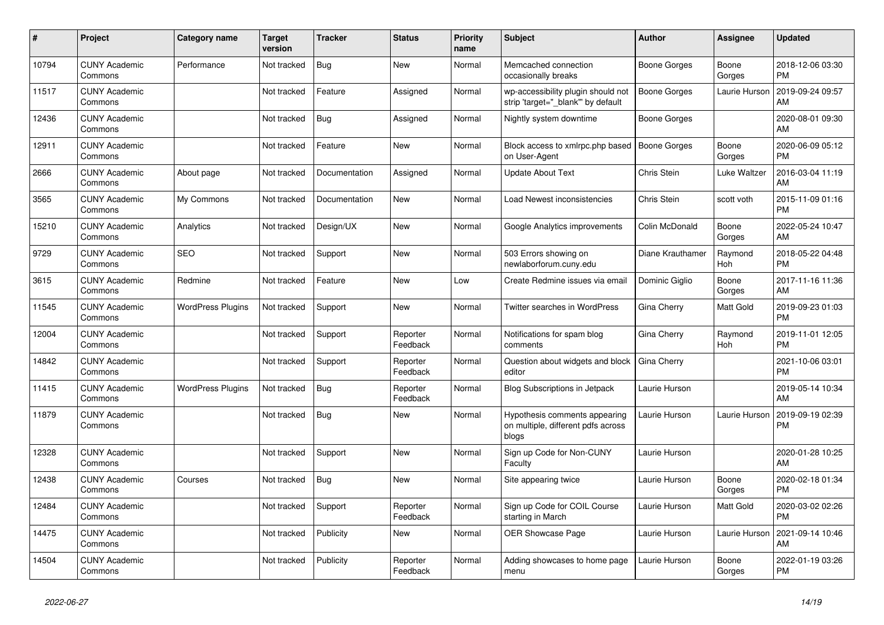| #     | Project                         | <b>Category name</b>     | <b>Target</b><br>version | <b>Tracker</b> | <b>Status</b>        | <b>Priority</b><br>name | <b>Subject</b>                                                               | <b>Author</b>       | Assignee        | <b>Updated</b>                |
|-------|---------------------------------|--------------------------|--------------------------|----------------|----------------------|-------------------------|------------------------------------------------------------------------------|---------------------|-----------------|-------------------------------|
| 10794 | <b>CUNY Academic</b><br>Commons | Performance              | Not tracked              | Bug            | <b>New</b>           | Normal                  | Memcached connection<br>occasionally breaks                                  | Boone Gorges        | Boone<br>Gorges | 2018-12-06 03:30<br><b>PM</b> |
| 11517 | <b>CUNY Academic</b><br>Commons |                          | Not tracked              | Feature        | Assigned             | Normal                  | wp-accessibility plugin should not<br>strip 'target="_blank"' by default     | <b>Boone Gorges</b> | Laurie Hurson   | 2019-09-24 09:57<br>AM        |
| 12436 | <b>CUNY Academic</b><br>Commons |                          | Not tracked              | Bug            | Assigned             | Normal                  | Nightly system downtime                                                      | Boone Gorges        |                 | 2020-08-01 09:30<br>AM        |
| 12911 | <b>CUNY Academic</b><br>Commons |                          | Not tracked              | Feature        | <b>New</b>           | Normal                  | Block access to xmlrpc.php based<br>on User-Agent                            | <b>Boone Gorges</b> | Boone<br>Gorges | 2020-06-09 05:12<br><b>PM</b> |
| 2666  | <b>CUNY Academic</b><br>Commons | About page               | Not tracked              | Documentation  | Assigned             | Normal                  | <b>Update About Text</b>                                                     | <b>Chris Stein</b>  | Luke Waltzer    | 2016-03-04 11:19<br>AM        |
| 3565  | <b>CUNY Academic</b><br>Commons | My Commons               | Not tracked              | Documentation  | New                  | Normal                  | Load Newest inconsistencies                                                  | Chris Stein         | scott voth      | 2015-11-09 01:16<br><b>PM</b> |
| 15210 | <b>CUNY Academic</b><br>Commons | Analytics                | Not tracked              | Design/UX      | <b>New</b>           | Normal                  | Google Analytics improvements                                                | Colin McDonald      | Boone<br>Gorges | 2022-05-24 10:47<br>AM        |
| 9729  | <b>CUNY Academic</b><br>Commons | <b>SEO</b>               | Not tracked              | Support        | <b>New</b>           | Normal                  | 503 Errors showing on<br>newlaborforum.cuny.edu                              | Diane Krauthamer    | Raymond<br>Hoh  | 2018-05-22 04:48<br><b>PM</b> |
| 3615  | <b>CUNY Academic</b><br>Commons | Redmine                  | Not tracked              | Feature        | <b>New</b>           | Low                     | Create Redmine issues via email                                              | Dominic Giglio      | Boone<br>Gorges | 2017-11-16 11:36<br>AM        |
| 11545 | <b>CUNY Academic</b><br>Commons | <b>WordPress Plugins</b> | Not tracked              | Support        | <b>New</b>           | Normal                  | <b>Twitter searches in WordPress</b>                                         | Gina Cherry         | Matt Gold       | 2019-09-23 01:03<br><b>PM</b> |
| 12004 | <b>CUNY Academic</b><br>Commons |                          | Not tracked              | Support        | Reporter<br>Feedback | Normal                  | Notifications for spam blog<br>comments                                      | Gina Cherry         | Raymond<br>Hoh  | 2019-11-01 12:05<br><b>PM</b> |
| 14842 | <b>CUNY Academic</b><br>Commons |                          | Not tracked              | Support        | Reporter<br>Feedback | Normal                  | Question about widgets and block<br>editor                                   | Gina Cherry         |                 | 2021-10-06 03:01<br><b>PM</b> |
| 11415 | <b>CUNY Academic</b><br>Commons | <b>WordPress Plugins</b> | Not tracked              | <b>Bug</b>     | Reporter<br>Feedback | Normal                  | Blog Subscriptions in Jetpack                                                | Laurie Hurson       |                 | 2019-05-14 10:34<br>AM        |
| 11879 | <b>CUNY Academic</b><br>Commons |                          | Not tracked              | Bug            | <b>New</b>           | Normal                  | Hypothesis comments appearing<br>on multiple, different pdfs across<br>blogs | Laurie Hurson       | Laurie Hurson   | 2019-09-19 02:39<br><b>PM</b> |
| 12328 | <b>CUNY Academic</b><br>Commons |                          | Not tracked              | Support        | <b>New</b>           | Normal                  | Sign up Code for Non-CUNY<br>Faculty                                         | Laurie Hurson       |                 | 2020-01-28 10:25<br>AM        |
| 12438 | <b>CUNY Academic</b><br>Commons | Courses                  | Not tracked              | Bug            | <b>New</b>           | Normal                  | Site appearing twice                                                         | Laurie Hurson       | Boone<br>Gorges | 2020-02-18 01:34<br><b>PM</b> |
| 12484 | <b>CUNY Academic</b><br>Commons |                          | Not tracked              | Support        | Reporter<br>Feedback | Normal                  | Sign up Code for COIL Course<br>starting in March                            | Laurie Hurson       | Matt Gold       | 2020-03-02 02:26<br><b>PM</b> |
| 14475 | <b>CUNY Academic</b><br>Commons |                          | Not tracked              | Publicity      | <b>New</b>           | Normal                  | <b>OER Showcase Page</b>                                                     | Laurie Hurson       | Laurie Hurson   | 2021-09-14 10:46<br>AM        |
| 14504 | <b>CUNY Academic</b><br>Commons |                          | Not tracked              | Publicity      | Reporter<br>Feedback | Normal                  | Adding showcases to home page<br>menu                                        | Laurie Hurson       | Boone<br>Gorges | 2022-01-19 03:26<br><b>PM</b> |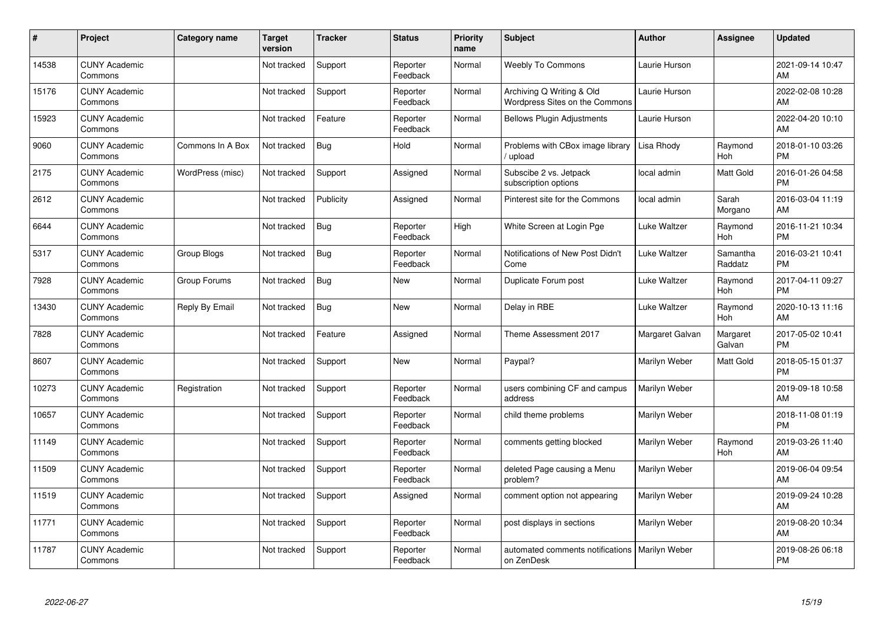| #     | Project                         | <b>Category name</b> | <b>Target</b><br>version | <b>Tracker</b> | <b>Status</b>        | <b>Priority</b><br>name | <b>Subject</b>                                                 | <b>Author</b>   | <b>Assignee</b>       | <b>Updated</b>                |
|-------|---------------------------------|----------------------|--------------------------|----------------|----------------------|-------------------------|----------------------------------------------------------------|-----------------|-----------------------|-------------------------------|
| 14538 | <b>CUNY Academic</b><br>Commons |                      | Not tracked              | Support        | Reporter<br>Feedback | Normal                  | <b>Weebly To Commons</b>                                       | Laurie Hurson   |                       | 2021-09-14 10:47<br>AM        |
| 15176 | <b>CUNY Academic</b><br>Commons |                      | Not tracked              | Support        | Reporter<br>Feedback | Normal                  | Archiving Q Writing & Old<br>Wordpress Sites on the Commons    | Laurie Hurson   |                       | 2022-02-08 10:28<br>AM        |
| 15923 | <b>CUNY Academic</b><br>Commons |                      | Not tracked              | Feature        | Reporter<br>Feedback | Normal                  | <b>Bellows Plugin Adjustments</b>                              | Laurie Hurson   |                       | 2022-04-20 10:10<br>AM        |
| 9060  | <b>CUNY Academic</b><br>Commons | Commons In A Box     | Not tracked              | <b>Bug</b>     | Hold                 | Normal                  | Problems with CBox image library<br>upload                     | Lisa Rhody      | Raymond<br>Hoh        | 2018-01-10 03:26<br><b>PM</b> |
| 2175  | <b>CUNY Academic</b><br>Commons | WordPress (misc)     | Not tracked              | Support        | Assigned             | Normal                  | Subscibe 2 vs. Jetpack<br>subscription options                 | local admin     | Matt Gold             | 2016-01-26 04:58<br><b>PM</b> |
| 2612  | <b>CUNY Academic</b><br>Commons |                      | Not tracked              | Publicity      | Assigned             | Normal                  | Pinterest site for the Commons                                 | local admin     | Sarah<br>Morgano      | 2016-03-04 11:19<br>AM        |
| 6644  | <b>CUNY Academic</b><br>Commons |                      | Not tracked              | Bug            | Reporter<br>Feedback | High                    | White Screen at Login Pge                                      | Luke Waltzer    | Raymond<br>Hoh        | 2016-11-21 10:34<br><b>PM</b> |
| 5317  | <b>CUNY Academic</b><br>Commons | Group Blogs          | Not tracked              | Bug            | Reporter<br>Feedback | Normal                  | Notifications of New Post Didn't<br>Come                       | Luke Waltzer    | Samantha<br>Raddatz   | 2016-03-21 10:41<br><b>PM</b> |
| 7928  | <b>CUNY Academic</b><br>Commons | Group Forums         | Not tracked              | Bug            | New                  | Normal                  | Duplicate Forum post                                           | Luke Waltzer    | Raymond<br><b>Hoh</b> | 2017-04-11 09:27<br><b>PM</b> |
| 13430 | <b>CUNY Academic</b><br>Commons | Reply By Email       | Not tracked              | Bug            | <b>New</b>           | Normal                  | Delay in RBE                                                   | Luke Waltzer    | Raymond<br>Hoh        | 2020-10-13 11:16<br>AM        |
| 7828  | <b>CUNY Academic</b><br>Commons |                      | Not tracked              | Feature        | Assigned             | Normal                  | Theme Assessment 2017                                          | Margaret Galvan | Margaret<br>Galvan    | 2017-05-02 10:41<br><b>PM</b> |
| 8607  | <b>CUNY Academic</b><br>Commons |                      | Not tracked              | Support        | New                  | Normal                  | Paypal?                                                        | Marilyn Weber   | Matt Gold             | 2018-05-15 01:37<br><b>PM</b> |
| 10273 | <b>CUNY Academic</b><br>Commons | Registration         | Not tracked              | Support        | Reporter<br>Feedback | Normal                  | users combining CF and campus<br>address                       | Marilyn Weber   |                       | 2019-09-18 10:58<br>AM        |
| 10657 | <b>CUNY Academic</b><br>Commons |                      | Not tracked              | Support        | Reporter<br>Feedback | Normal                  | child theme problems                                           | Marilyn Weber   |                       | 2018-11-08 01:19<br><b>PM</b> |
| 11149 | <b>CUNY Academic</b><br>Commons |                      | Not tracked              | Support        | Reporter<br>Feedback | Normal                  | comments getting blocked                                       | Marilyn Weber   | Raymond<br>Hoh        | 2019-03-26 11:40<br>AM        |
| 11509 | <b>CUNY Academic</b><br>Commons |                      | Not tracked              | Support        | Reporter<br>Feedback | Normal                  | deleted Page causing a Menu<br>problem?                        | Marilyn Weber   |                       | 2019-06-04 09:54<br>AM        |
| 11519 | <b>CUNY Academic</b><br>Commons |                      | Not tracked              | Support        | Assigned             | Normal                  | comment option not appearing                                   | Marilyn Weber   |                       | 2019-09-24 10:28<br>AM        |
| 11771 | <b>CUNY Academic</b><br>Commons |                      | Not tracked              | Support        | Reporter<br>Feedback | Normal                  | post displays in sections                                      | Marilyn Weber   |                       | 2019-08-20 10:34<br>AM        |
| 11787 | <b>CUNY Academic</b><br>Commons |                      | Not tracked              | Support        | Reporter<br>Feedback | Normal                  | automated comments notifications   Marilyn Weber<br>on ZenDesk |                 |                       | 2019-08-26 06:18<br>PM        |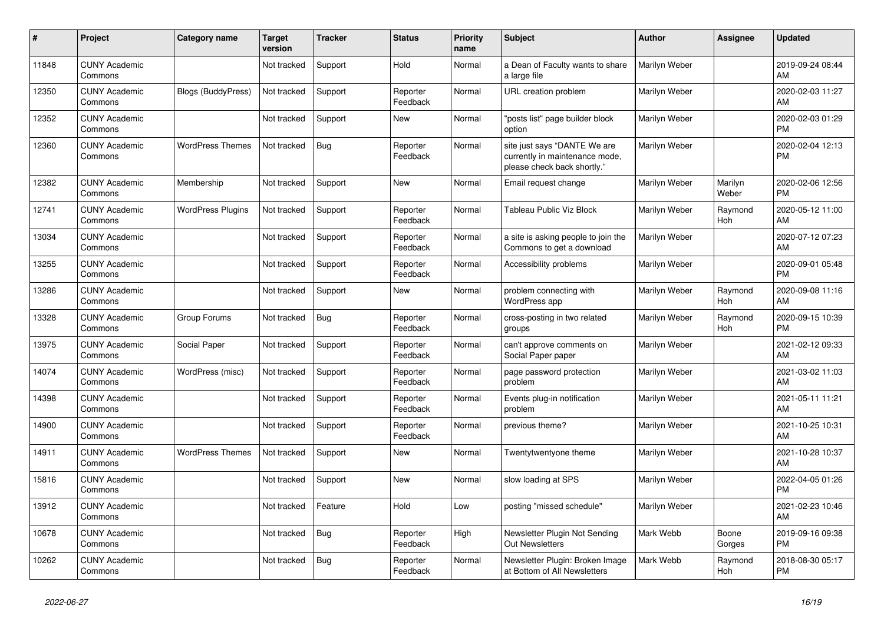| #     | Project                         | <b>Category name</b>      | Target<br>version | <b>Tracker</b> | <b>Status</b>        | <b>Priority</b><br>name | <b>Subject</b>                                                                                | <b>Author</b> | <b>Assignee</b>       | <b>Updated</b>                |
|-------|---------------------------------|---------------------------|-------------------|----------------|----------------------|-------------------------|-----------------------------------------------------------------------------------------------|---------------|-----------------------|-------------------------------|
| 11848 | <b>CUNY Academic</b><br>Commons |                           | Not tracked       | Support        | Hold                 | Normal                  | a Dean of Faculty wants to share<br>a large file                                              | Marilyn Weber |                       | 2019-09-24 08:44<br>AM        |
| 12350 | <b>CUNY Academic</b><br>Commons | <b>Blogs (BuddyPress)</b> | Not tracked       | Support        | Reporter<br>Feedback | Normal                  | URL creation problem                                                                          | Marilyn Weber |                       | 2020-02-03 11:27<br>AM        |
| 12352 | <b>CUNY Academic</b><br>Commons |                           | Not tracked       | Support        | New                  | Normal                  | 'posts list" page builder block<br>option                                                     | Marilyn Weber |                       | 2020-02-03 01:29<br><b>PM</b> |
| 12360 | <b>CUNY Academic</b><br>Commons | <b>WordPress Themes</b>   | Not tracked       | <b>Bug</b>     | Reporter<br>Feedback | Normal                  | site just says "DANTE We are<br>currently in maintenance mode,<br>please check back shortly." | Marilyn Weber |                       | 2020-02-04 12:13<br><b>PM</b> |
| 12382 | <b>CUNY Academic</b><br>Commons | Membership                | Not tracked       | Support        | New                  | Normal                  | Email request change                                                                          | Marilyn Weber | Marilyn<br>Weber      | 2020-02-06 12:56<br><b>PM</b> |
| 12741 | <b>CUNY Academic</b><br>Commons | <b>WordPress Plugins</b>  | Not tracked       | Support        | Reporter<br>Feedback | Normal                  | Tableau Public Viz Block                                                                      | Marilyn Weber | Raymond<br>Hoh        | 2020-05-12 11:00<br>AM        |
| 13034 | <b>CUNY Academic</b><br>Commons |                           | Not tracked       | Support        | Reporter<br>Feedback | Normal                  | a site is asking people to join the<br>Commons to get a download                              | Marilyn Weber |                       | 2020-07-12 07:23<br>AM        |
| 13255 | <b>CUNY Academic</b><br>Commons |                           | Not tracked       | Support        | Reporter<br>Feedback | Normal                  | Accessibility problems                                                                        | Marilyn Weber |                       | 2020-09-01 05:48<br><b>PM</b> |
| 13286 | <b>CUNY Academic</b><br>Commons |                           | Not tracked       | Support        | New                  | Normal                  | problem connecting with<br>WordPress app                                                      | Marilyn Weber | Raymond<br><b>Hoh</b> | 2020-09-08 11:16<br>AM        |
| 13328 | <b>CUNY Academic</b><br>Commons | Group Forums              | Not tracked       | Bug            | Reporter<br>Feedback | Normal                  | cross-posting in two related<br>groups                                                        | Marilyn Weber | Raymond<br>Hoh        | 2020-09-15 10:39<br><b>PM</b> |
| 13975 | <b>CUNY Academic</b><br>Commons | Social Paper              | Not tracked       | Support        | Reporter<br>Feedback | Normal                  | can't approve comments on<br>Social Paper paper                                               | Marilyn Weber |                       | 2021-02-12 09:33<br>AM        |
| 14074 | <b>CUNY Academic</b><br>Commons | WordPress (misc)          | Not tracked       | Support        | Reporter<br>Feedback | Normal                  | page password protection<br>problem                                                           | Marilyn Weber |                       | 2021-03-02 11:03<br>AM        |
| 14398 | <b>CUNY Academic</b><br>Commons |                           | Not tracked       | Support        | Reporter<br>Feedback | Normal                  | Events plug-in notification<br>problem                                                        | Marilyn Weber |                       | 2021-05-11 11:21<br>AM        |
| 14900 | <b>CUNY Academic</b><br>Commons |                           | Not tracked       | Support        | Reporter<br>Feedback | Normal                  | previous theme?                                                                               | Marilyn Weber |                       | 2021-10-25 10:31<br>AM        |
| 14911 | <b>CUNY Academic</b><br>Commons | <b>WordPress Themes</b>   | Not tracked       | Support        | New                  | Normal                  | Twentytwentyone theme                                                                         | Marilyn Weber |                       | 2021-10-28 10:37<br>AM        |
| 15816 | <b>CUNY Academic</b><br>Commons |                           | Not tracked       | Support        | <b>New</b>           | Normal                  | slow loading at SPS                                                                           | Marilyn Weber |                       | 2022-04-05 01:26<br><b>PM</b> |
| 13912 | <b>CUNY Academic</b><br>Commons |                           | Not tracked       | Feature        | Hold                 | Low                     | posting "missed schedule"                                                                     | Marilyn Weber |                       | 2021-02-23 10:46<br>AM        |
| 10678 | <b>CUNY Academic</b><br>Commons |                           | Not tracked       | <b>Bug</b>     | Reporter<br>Feedback | High                    | Newsletter Plugin Not Sending<br><b>Out Newsletters</b>                                       | Mark Webb     | Boone<br>Gorges       | 2019-09-16 09:38<br><b>PM</b> |
| 10262 | <b>CUNY Academic</b><br>Commons |                           | Not tracked       | Bug            | Reporter<br>Feedback | Normal                  | Newsletter Plugin: Broken Image<br>at Bottom of All Newsletters                               | Mark Webb     | Raymond<br>Hoh        | 2018-08-30 05:17<br><b>PM</b> |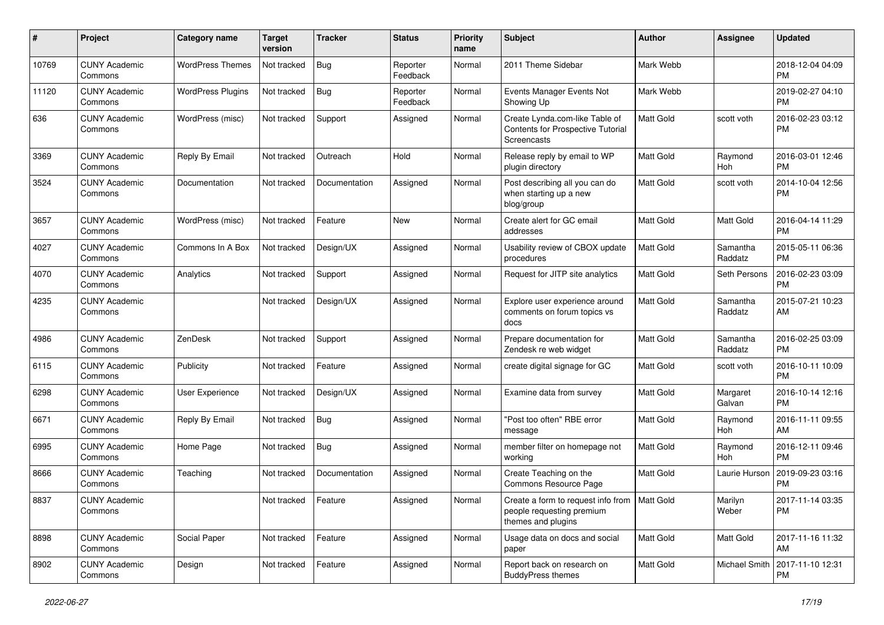| #     | Project                         | <b>Category name</b>     | <b>Target</b><br>version | Tracker       | <b>Status</b>        | <b>Priority</b><br>name | <b>Subject</b>                                                                                    | Author    | Assignee            | <b>Updated</b>                |
|-------|---------------------------------|--------------------------|--------------------------|---------------|----------------------|-------------------------|---------------------------------------------------------------------------------------------------|-----------|---------------------|-------------------------------|
| 10769 | <b>CUNY Academic</b><br>Commons | <b>WordPress Themes</b>  | Not tracked              | Bug           | Reporter<br>Feedback | Normal                  | 2011 Theme Sidebar                                                                                | Mark Webb |                     | 2018-12-04 04:09<br>PM        |
| 11120 | <b>CUNY Academic</b><br>Commons | <b>WordPress Plugins</b> | Not tracked              | Bug           | Reporter<br>Feedback | Normal                  | Events Manager Events Not<br>Showing Up                                                           | Mark Webb |                     | 2019-02-27 04:10<br><b>PM</b> |
| 636   | <b>CUNY Academic</b><br>Commons | WordPress (misc)         | Not tracked              | Support       | Assigned             | Normal                  | Create Lynda.com-like Table of<br>Contents for Prospective Tutorial<br>Screencasts                | Matt Gold | scott voth          | 2016-02-23 03:12<br>PM        |
| 3369  | <b>CUNY Academic</b><br>Commons | Reply By Email           | Not tracked              | Outreach      | Hold                 | Normal                  | Release reply by email to WP<br>plugin directory                                                  | Matt Gold | Raymond<br>Hoh      | 2016-03-01 12:46<br><b>PM</b> |
| 3524  | <b>CUNY Academic</b><br>Commons | Documentation            | Not tracked              | Documentation | Assigned             | Normal                  | Post describing all you can do<br>when starting up a new<br>blog/group                            | Matt Gold | scott voth          | 2014-10-04 12:56<br><b>PM</b> |
| 3657  | <b>CUNY Academic</b><br>Commons | WordPress (misc)         | Not tracked              | Feature       | <b>New</b>           | Normal                  | Create alert for GC email<br>addresses                                                            | Matt Gold | Matt Gold           | 2016-04-14 11:29<br>PM        |
| 4027  | <b>CUNY Academic</b><br>Commons | Commons In A Box         | Not tracked              | Design/UX     | Assigned             | Normal                  | Usability review of CBOX update<br>procedures                                                     | Matt Gold | Samantha<br>Raddatz | 2015-05-11 06:36<br><b>PM</b> |
| 4070  | <b>CUNY Academic</b><br>Commons | Analytics                | Not tracked              | Support       | Assigned             | Normal                  | Request for JITP site analytics                                                                   | Matt Gold | Seth Persons        | 2016-02-23 03:09<br><b>PM</b> |
| 4235  | <b>CUNY Academic</b><br>Commons |                          | Not tracked              | Design/UX     | Assigned             | Normal                  | Explore user experience around<br>comments on forum topics vs<br>docs                             | Matt Gold | Samantha<br>Raddatz | 2015-07-21 10:23<br>AM        |
| 4986  | <b>CUNY Academic</b><br>Commons | ZenDesk                  | Not tracked              | Support       | Assigned             | Normal                  | Prepare documentation for<br>Zendesk re web widget                                                | Matt Gold | Samantha<br>Raddatz | 2016-02-25 03:09<br><b>PM</b> |
| 6115  | <b>CUNY Academic</b><br>Commons | Publicity                | Not tracked              | Feature       | Assigned             | Normal                  | create digital signage for GC                                                                     | Matt Gold | scott voth          | 2016-10-11 10:09<br><b>PM</b> |
| 6298  | <b>CUNY Academic</b><br>Commons | User Experience          | Not tracked              | Design/UX     | Assigned             | Normal                  | Examine data from survey                                                                          | Matt Gold | Margaret<br>Galvan  | 2016-10-14 12:16<br><b>PM</b> |
| 6671  | <b>CUNY Academic</b><br>Commons | Reply By Email           | Not tracked              | Bug           | Assigned             | Normal                  | "Post too often" RBE error<br>message                                                             | Matt Gold | Raymond<br>Hoh      | 2016-11-11 09:55<br>AM        |
| 6995  | <b>CUNY Academic</b><br>Commons | Home Page                | Not tracked              | Bug           | Assigned             | Normal                  | member filter on homepage not<br>working                                                          | Matt Gold | Raymond<br>Hoh      | 2016-12-11 09:46<br><b>PM</b> |
| 8666  | <b>CUNY Academic</b><br>Commons | Teaching                 | Not tracked              | Documentation | Assigned             | Normal                  | Create Teaching on the<br>Commons Resource Page                                                   | Matt Gold | Laurie Hurson       | 2019-09-23 03:16<br><b>PM</b> |
| 8837  | <b>CUNY Academic</b><br>Commons |                          | Not tracked              | Feature       | Assigned             | Normal                  | Create a form to request info from   Matt Gold<br>people requesting premium<br>themes and plugins |           | Marilyn<br>Weber    | 2017-11-14 03:35<br><b>PM</b> |
| 8898  | <b>CUNY Academic</b><br>Commons | Social Paper             | Not tracked              | Feature       | Assigned             | Normal                  | Usage data on docs and social<br>paper                                                            | Matt Gold | Matt Gold           | 2017-11-16 11:32<br>AM        |
| 8902  | <b>CUNY Academic</b><br>Commons | Design                   | Not tracked              | Feature       | Assigned             | Normal                  | Report back on research on<br><b>BuddyPress themes</b>                                            | Matt Gold | Michael Smith       | 2017-11-10 12:31<br>PM        |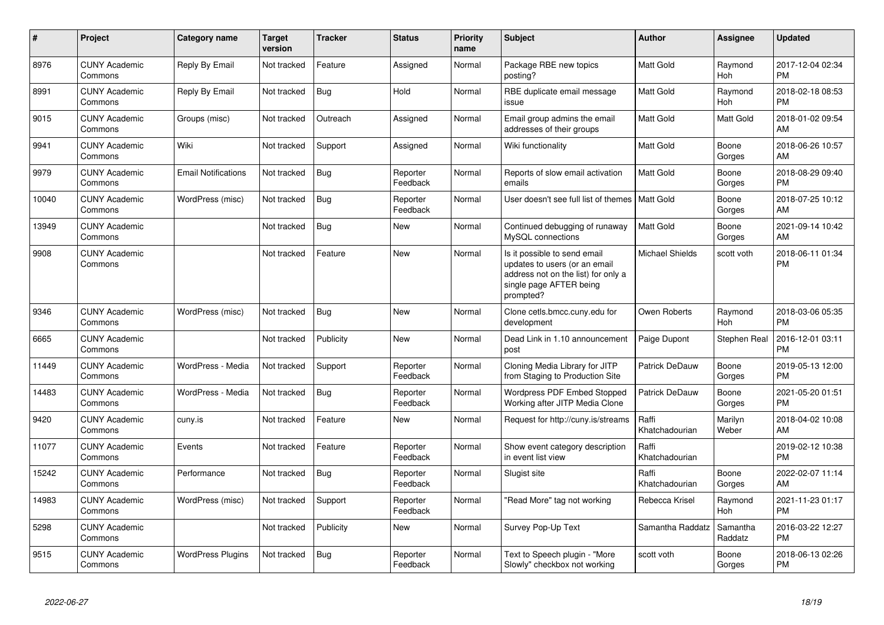| $\#$  | <b>Project</b>                  | Category name              | <b>Target</b><br>version | <b>Tracker</b> | <b>Status</b>        | <b>Priority</b><br>name | <b>Subject</b>                                                                                                                               | Author                  | <b>Assignee</b>       | <b>Updated</b>                |
|-------|---------------------------------|----------------------------|--------------------------|----------------|----------------------|-------------------------|----------------------------------------------------------------------------------------------------------------------------------------------|-------------------------|-----------------------|-------------------------------|
| 8976  | <b>CUNY Academic</b><br>Commons | Reply By Email             | Not tracked              | Feature        | Assigned             | Normal                  | Package RBE new topics<br>posting?                                                                                                           | <b>Matt Gold</b>        | Raymond<br>Hoh        | 2017-12-04 02:34<br><b>PM</b> |
| 8991  | <b>CUNY Academic</b><br>Commons | Reply By Email             | Not tracked              | <b>Bug</b>     | Hold                 | Normal                  | RBE duplicate email message<br>issue                                                                                                         | <b>Matt Gold</b>        | Raymond<br><b>Hoh</b> | 2018-02-18 08:53<br><b>PM</b> |
| 9015  | <b>CUNY Academic</b><br>Commons | Groups (misc)              | Not tracked              | Outreach       | Assigned             | Normal                  | Email group admins the email<br>addresses of their groups                                                                                    | <b>Matt Gold</b>        | Matt Gold             | 2018-01-02 09:54<br>AM        |
| 9941  | <b>CUNY Academic</b><br>Commons | Wiki                       | Not tracked              | Support        | Assigned             | Normal                  | Wiki functionality                                                                                                                           | <b>Matt Gold</b>        | Boone<br>Gorges       | 2018-06-26 10:57<br>AM        |
| 9979  | <b>CUNY Academic</b><br>Commons | <b>Email Notifications</b> | Not tracked              | <b>Bug</b>     | Reporter<br>Feedback | Normal                  | Reports of slow email activation<br>emails                                                                                                   | <b>Matt Gold</b>        | Boone<br>Gorges       | 2018-08-29 09:40<br><b>PM</b> |
| 10040 | <b>CUNY Academic</b><br>Commons | WordPress (misc)           | Not tracked              | <b>Bug</b>     | Reporter<br>Feedback | Normal                  | User doesn't see full list of themes   Matt Gold                                                                                             |                         | Boone<br>Gorges       | 2018-07-25 10:12<br>AM        |
| 13949 | <b>CUNY Academic</b><br>Commons |                            | Not tracked              | <b>Bug</b>     | <b>New</b>           | Normal                  | Continued debugging of runaway<br>MySQL connections                                                                                          | <b>Matt Gold</b>        | Boone<br>Gorges       | 2021-09-14 10:42<br>AM        |
| 9908  | <b>CUNY Academic</b><br>Commons |                            | Not tracked              | Feature        | <b>New</b>           | Normal                  | Is it possible to send email<br>updates to users (or an email<br>address not on the list) for only a<br>single page AFTER being<br>prompted? | Michael Shields         | scott voth            | 2018-06-11 01:34<br><b>PM</b> |
| 9346  | <b>CUNY Academic</b><br>Commons | WordPress (misc)           | Not tracked              | <b>Bug</b>     | <b>New</b>           | Normal                  | Clone cetls.bmcc.cuny.edu for<br>development                                                                                                 | Owen Roberts            | Raymond<br><b>Hoh</b> | 2018-03-06 05:35<br><b>PM</b> |
| 6665  | <b>CUNY Academic</b><br>Commons |                            | Not tracked              | Publicity      | <b>New</b>           | Normal                  | Dead Link in 1.10 announcement<br>post                                                                                                       | Paige Dupont            | Stephen Real          | 2016-12-01 03:11<br><b>PM</b> |
| 11449 | <b>CUNY Academic</b><br>Commons | WordPress - Media          | Not tracked              | Support        | Reporter<br>Feedback | Normal                  | Cloning Media Library for JITP<br>from Staging to Production Site                                                                            | Patrick DeDauw          | Boone<br>Gorges       | 2019-05-13 12:00<br><b>PM</b> |
| 14483 | <b>CUNY Academic</b><br>Commons | WordPress - Media          | Not tracked              | Bug            | Reporter<br>Feedback | Normal                  | Wordpress PDF Embed Stopped<br>Working after JITP Media Clone                                                                                | Patrick DeDauw          | Boone<br>Gorges       | 2021-05-20 01:51<br><b>PM</b> |
| 9420  | <b>CUNY Academic</b><br>Commons | cuny.is                    | Not tracked              | Feature        | <b>New</b>           | Normal                  | Request for http://cuny.is/streams                                                                                                           | Raffi<br>Khatchadourian | Marilyn<br>Weber      | 2018-04-02 10:08<br>AM        |
| 11077 | <b>CUNY Academic</b><br>Commons | Events                     | Not tracked              | Feature        | Reporter<br>Feedback | Normal                  | Show event category description<br>in event list view                                                                                        | Raffi<br>Khatchadourian |                       | 2019-02-12 10:38<br><b>PM</b> |
| 15242 | <b>CUNY Academic</b><br>Commons | Performance                | Not tracked              | Bug            | Reporter<br>Feedback | Normal                  | Slugist site                                                                                                                                 | Raffi<br>Khatchadourian | Boone<br>Gorges       | 2022-02-07 11:14<br>AM        |
| 14983 | <b>CUNY Academic</b><br>Commons | WordPress (misc)           | Not tracked              | Support        | Reporter<br>Feedback | Normal                  | 'Read More" tag not working                                                                                                                  | Rebecca Krisel          | Raymond<br><b>Hoh</b> | 2021-11-23 01:17<br><b>PM</b> |
| 5298  | <b>CUNY Academic</b><br>Commons |                            | Not tracked              | Publicity      | <b>New</b>           | Normal                  | Survey Pop-Up Text                                                                                                                           | Samantha Raddatz        | Samantha<br>Raddatz   | 2016-03-22 12:27<br><b>PM</b> |
| 9515  | <b>CUNY Academic</b><br>Commons | <b>WordPress Plugins</b>   | Not tracked              | <b>Bug</b>     | Reporter<br>Feedback | Normal                  | Text to Speech plugin - "More<br>Slowly" checkbox not working                                                                                | scott voth              | Boone<br>Gorges       | 2018-06-13 02:26<br>PM        |